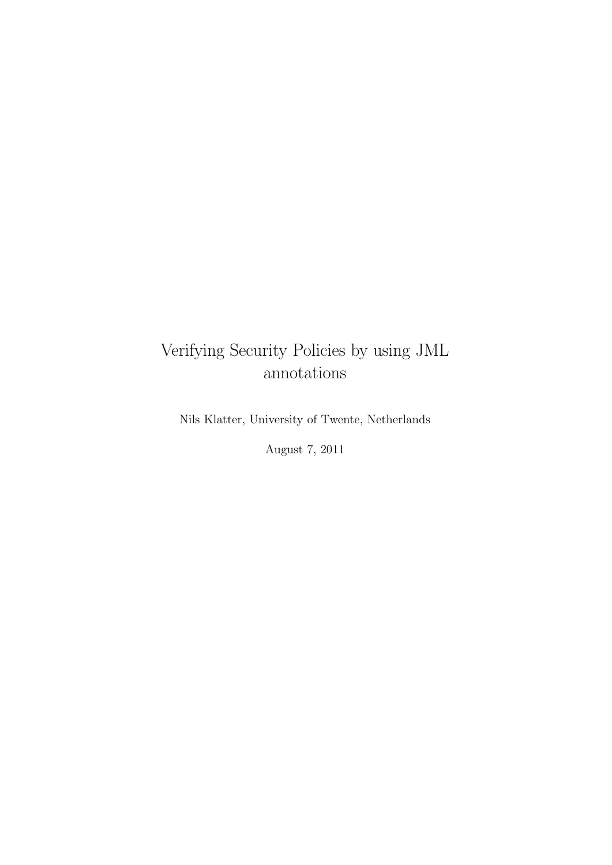### Verifying Security Policies by using JML annotations

Nils Klatter, University of Twente, Netherlands

August 7, 2011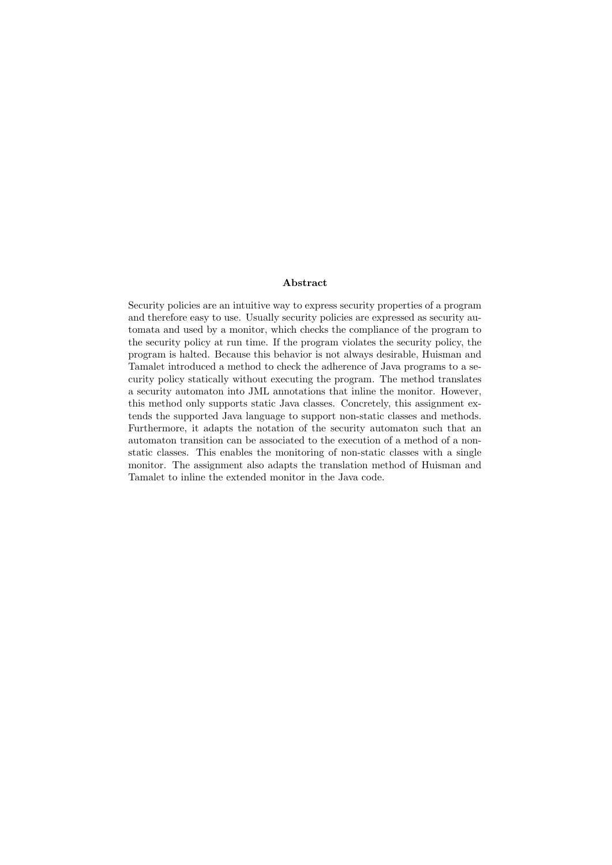#### Abstract

Security policies are an intuitive way to express security properties of a program and therefore easy to use. Usually security policies are expressed as security automata and used by a monitor, which checks the compliance of the program to the security policy at run time. If the program violates the security policy, the program is halted. Because this behavior is not always desirable, Huisman and Tamalet introduced a method to check the adherence of Java programs to a security policy statically without executing the program. The method translates a security automaton into JML annotations that inline the monitor. However, this method only supports static Java classes. Concretely, this assignment extends the supported Java language to support non-static classes and methods. Furthermore, it adapts the notation of the security automaton such that an automaton transition can be associated to the execution of a method of a nonstatic classes. This enables the monitoring of non-static classes with a single monitor. The assignment also adapts the translation method of Huisman and Tamalet to inline the extended monitor in the Java code.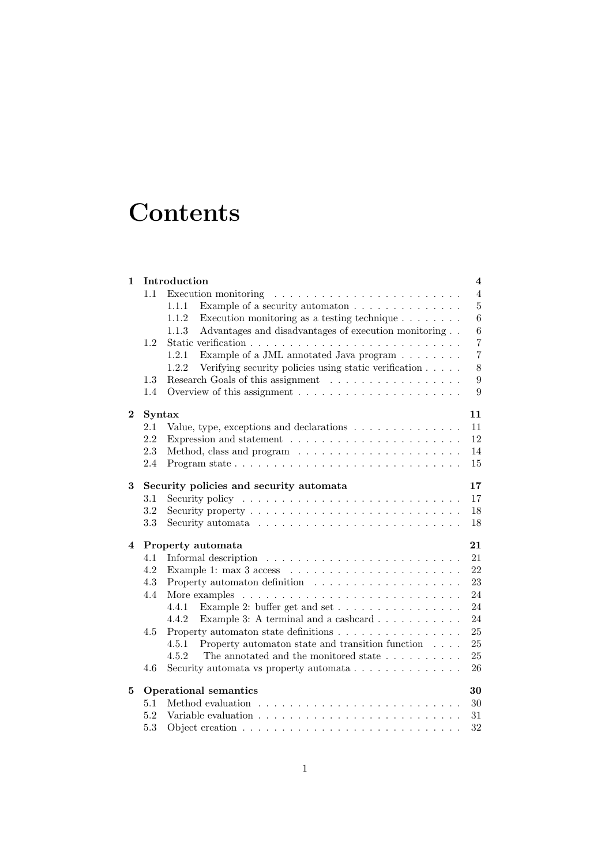## **Contents**

| 1        |        | Introduction                                                                                                                                                                                                                                                                                                                                                                                                                                                                        | $\overline{\mathbf{4}}$ |
|----------|--------|-------------------------------------------------------------------------------------------------------------------------------------------------------------------------------------------------------------------------------------------------------------------------------------------------------------------------------------------------------------------------------------------------------------------------------------------------------------------------------------|-------------------------|
|          | 1.1    | Execution monitoring<br>$\mathcal{L}^{(1)}\left(\mathcal{L}^{(1)}\left(\mathcal{L}^{(1)}\left(\mathcal{L}^{(1)}\left(\mathcal{L}^{(1)}\left(\mathcal{L}^{(1)}\left(\mathcal{L}^{(1)}\left(\mathcal{L}^{(1)}\left(\mathcal{L}^{(1)}\left(\mathcal{L}^{(1)}\right)\mathcal{L}^{(1)}\right)\right)\right)\right)\right)\right)\right)\right)\leq\mathcal{L}^{(1)}\left(\mathcal{L}^{(1)}\left(\mathcal{L}^{(1)}\left(\mathcal{L}^{(1)}\left(\mathcal{L}^{(1)}\left(\mathcal{L}^{(1)}\$ | $\overline{4}$          |
|          |        | Example of a security automaton $\ldots \ldots \ldots \ldots \ldots$<br>1.1.1                                                                                                                                                                                                                                                                                                                                                                                                       | $\overline{5}$          |
|          |        | 1.1.2<br>Execution monitoring as a testing technique $\ldots \ldots \ldots$                                                                                                                                                                                                                                                                                                                                                                                                         | $6\phantom{.}6$         |
|          |        | Advantages and disadvantages of execution monitoring<br>1.1.3                                                                                                                                                                                                                                                                                                                                                                                                                       | 6                       |
|          | 1.2    |                                                                                                                                                                                                                                                                                                                                                                                                                                                                                     | $\overline{7}$          |
|          |        | Example of a JML annotated Java program $\ldots \ldots \ldots$<br>1.2.1                                                                                                                                                                                                                                                                                                                                                                                                             | $\overline{7}$          |
|          |        | Verifying security policies using static verification<br>1.2.2                                                                                                                                                                                                                                                                                                                                                                                                                      | 8                       |
|          | 1.3    |                                                                                                                                                                                                                                                                                                                                                                                                                                                                                     | 9                       |
|          | 1.4    | Overview of this assignment $\dots \dots \dots \dots \dots \dots \dots \dots$                                                                                                                                                                                                                                                                                                                                                                                                       | 9                       |
| $\bf{2}$ | Syntax |                                                                                                                                                                                                                                                                                                                                                                                                                                                                                     | 11                      |
|          | 2.1    | Value, type, exceptions and declarations $\dots \dots \dots \dots \dots$                                                                                                                                                                                                                                                                                                                                                                                                            | 11                      |
|          | 2.2    | Expression and statement $\ldots \ldots \ldots \ldots \ldots \ldots \ldots \ldots$                                                                                                                                                                                                                                                                                                                                                                                                  | 12                      |
|          | 2.3    |                                                                                                                                                                                                                                                                                                                                                                                                                                                                                     | 14                      |
|          | 2.4    |                                                                                                                                                                                                                                                                                                                                                                                                                                                                                     | 15                      |
| 3        |        | Security policies and security automata                                                                                                                                                                                                                                                                                                                                                                                                                                             | 17                      |
|          | 3.1    | Security policy $\ldots \ldots \ldots \ldots \ldots \ldots \ldots \ldots \ldots$                                                                                                                                                                                                                                                                                                                                                                                                    | 17                      |
|          | 3.2    | Security property $\dots \dots \dots \dots \dots \dots \dots \dots \dots \dots$                                                                                                                                                                                                                                                                                                                                                                                                     | 18                      |
|          | 3.3    |                                                                                                                                                                                                                                                                                                                                                                                                                                                                                     | 18                      |
| 4        |        | Property automata                                                                                                                                                                                                                                                                                                                                                                                                                                                                   | 21                      |
|          | 4.1    |                                                                                                                                                                                                                                                                                                                                                                                                                                                                                     | 21                      |
|          | 4.2    |                                                                                                                                                                                                                                                                                                                                                                                                                                                                                     | 22                      |
|          | 4.3    |                                                                                                                                                                                                                                                                                                                                                                                                                                                                                     | 23                      |
|          | 4.4    |                                                                                                                                                                                                                                                                                                                                                                                                                                                                                     | 24                      |
|          |        | Example 2: buffer get and set $\dots \dots \dots \dots \dots \dots$<br>4.4.1                                                                                                                                                                                                                                                                                                                                                                                                        | 24                      |
|          |        | Example 3: A terminal and a cashcard $\ldots \ldots \ldots$<br>4.4.2                                                                                                                                                                                                                                                                                                                                                                                                                | 24                      |
|          | 4.5    | Property automaton state definitions                                                                                                                                                                                                                                                                                                                                                                                                                                                | 25                      |
|          |        | Property automaton state and transition function $\ldots$ .<br>4.5.1                                                                                                                                                                                                                                                                                                                                                                                                                | 25                      |
|          |        | 4.5.2                                                                                                                                                                                                                                                                                                                                                                                                                                                                               | 25                      |
|          | 4.6    | Security automata vs property automata $\ldots \ldots \ldots \ldots$                                                                                                                                                                                                                                                                                                                                                                                                                | 26                      |
| 5        |        | <b>Operational semantics</b>                                                                                                                                                                                                                                                                                                                                                                                                                                                        | 30                      |
|          | 5.1    |                                                                                                                                                                                                                                                                                                                                                                                                                                                                                     | 30                      |
|          | 5.2    |                                                                                                                                                                                                                                                                                                                                                                                                                                                                                     | 31                      |
|          | 5.3    | Object creation $\ldots \ldots \ldots \ldots \ldots \ldots \ldots \ldots \ldots$                                                                                                                                                                                                                                                                                                                                                                                                    | 32                      |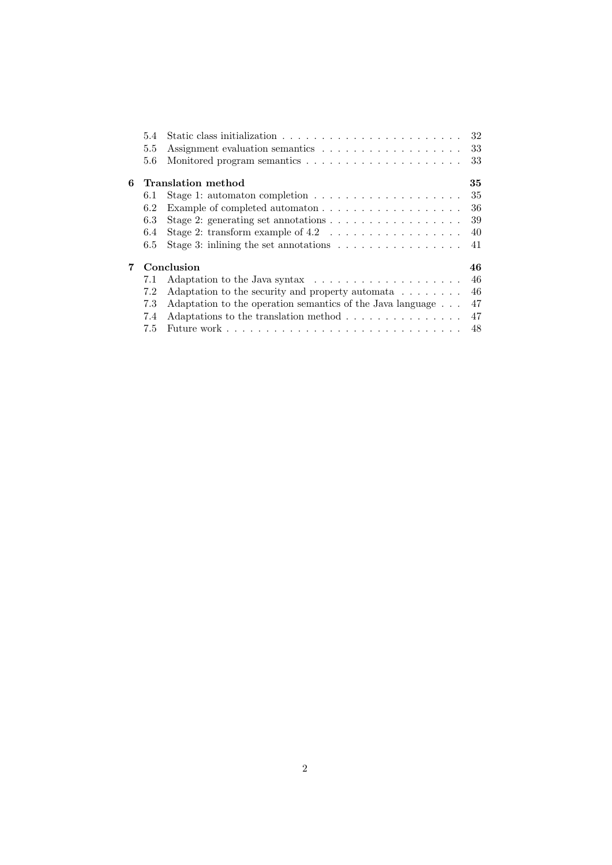|   | 5.4 |                                                                                          |    |
|---|-----|------------------------------------------------------------------------------------------|----|
|   | 5.5 |                                                                                          |    |
|   | 5.6 |                                                                                          |    |
| 6 |     | <b>Translation method</b>                                                                | 35 |
|   | 6.1 | Stage 1: automaton completion $\ldots \ldots \ldots \ldots \ldots \ldots \ldots$ 35      |    |
|   | 6.2 | Example of completed automaton $\ldots \ldots \ldots \ldots \ldots \ldots 36$            |    |
|   | 6.3 | Stage 2: generating set annotations $\dots \dots \dots \dots \dots \dots \dots$ 39       |    |
|   | 6.4 | Stage 2: transform example of $4.2 \ldots \ldots \ldots \ldots \ldots \ldots 40$         |    |
|   | 6.5 | Stage 3: inlining the set annotations $\ldots \ldots \ldots \ldots \ldots$ 41            |    |
| 7 |     | Conclusion                                                                               | 46 |
|   | 7.1 | Adaptation to the Java syntax $\dots \dots \dots \dots \dots \dots \dots \dots \dots$ 46 |    |
|   | 7.2 | Adaptation to the security and property automata $\dots \dots \dots$ 46                  |    |
|   | 7.3 | Adaptation to the operation semantics of the Java language $\ldots$ 47                   |    |
|   | 7.4 | Adaptations to the translation method $\ldots \ldots \ldots \ldots \ldots$ 47            |    |
|   |     |                                                                                          |    |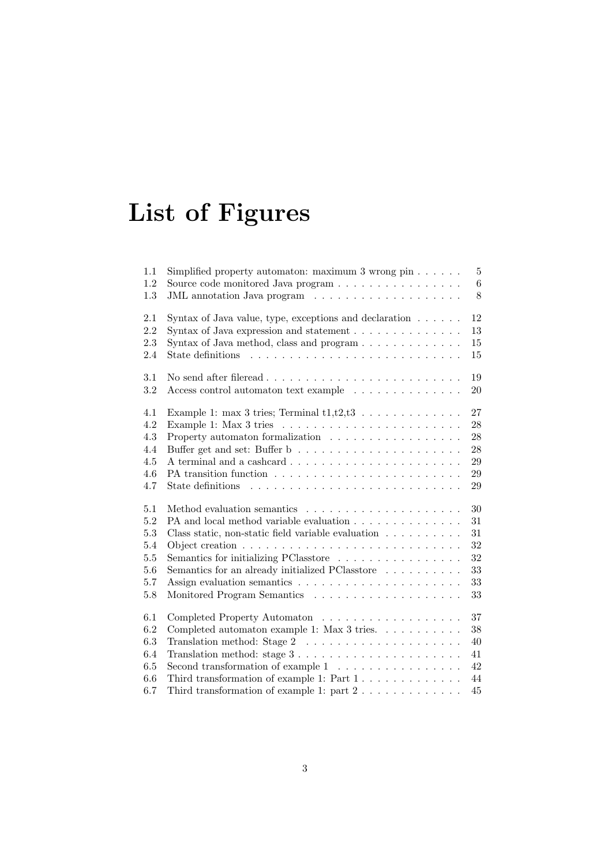# List of Figures

| 1.1     | Simplified property automaton: maximum $3$ wrong pin $\dots \dots$                                      | 5       |
|---------|---------------------------------------------------------------------------------------------------------|---------|
| 1.2     |                                                                                                         | $\,6\,$ |
| 1.3     |                                                                                                         | 8       |
| 2.1     | Syntax of Java value, type, exceptions and declaration $\ldots \ldots$                                  | 12      |
| 2.2     | Syntax of Java expression and statement $\ldots \ldots \ldots \ldots$                                   | 13      |
| 2.3     | Syntax of Java method, class and program                                                                | 15      |
| 2.4     |                                                                                                         | 15      |
| 3.1     |                                                                                                         | 19      |
| 3.2     | Access control automaton text example                                                                   | $20\,$  |
| 4.1     | Example 1: max 3 tries; Terminal $t1,t2,t3$                                                             | 27      |
| 4.2     | Example 1: Max 3 tries $\ldots \ldots \ldots \ldots \ldots \ldots \ldots \ldots$                        | 28      |
| 4.3     | Property automaton formalization $\ldots \ldots \ldots \ldots \ldots \ldots$                            | 28      |
| 4.4     | Buffer get and set: Buffer $b\;\dots\;\dots\;\dots\;\dots\;\dots\;\dots\;\dots\;\dots\;\dots$           | 28      |
| $4.5\,$ |                                                                                                         | 29      |
| 4.6     |                                                                                                         | 29      |
| 4.7     |                                                                                                         | 29      |
| 5.1     |                                                                                                         | $30\,$  |
| 5.2     | PA and local method variable evaluation                                                                 | 31      |
| 5.3     | Class static, non-static field variable evaluation $\ldots \ldots \ldots$                               | 31      |
| 5.4     |                                                                                                         | 32      |
| 5.5     | Semantics for initializing PClasstore                                                                   | 32      |
| $5.6\,$ | Semantics for an already initialized PClasstore                                                         | 33      |
| 5.7     |                                                                                                         | $33\,$  |
| $5.8\,$ |                                                                                                         | 33      |
| 6.1     | Completed Property Automaton                                                                            | 37      |
| 6.2     | Completed automaton example 1: Max 3 tries. $\ldots \ldots \ldots$                                      | $38\,$  |
| 6.3     | Translation method: Stage $2 \ldots \ldots \ldots \ldots \ldots \ldots$                                 | 40      |
| 6.4     | Translation method: stage $3 \ldots \ldots \ldots \ldots \ldots \ldots \ldots$                          | 41      |
| 6.5     | Second transformation of example $1 \ldots \ldots \ldots \ldots \ldots$                                 | 42      |
| 6.6     | Third transformation of example 1: Part $1 \, . \, . \, . \, . \, . \, . \, . \, . \, . \, . \, . \, .$ | 44      |
| 6.7     | Third transformation of example 1: part $2 \ldots \ldots \ldots \ldots$                                 | 45      |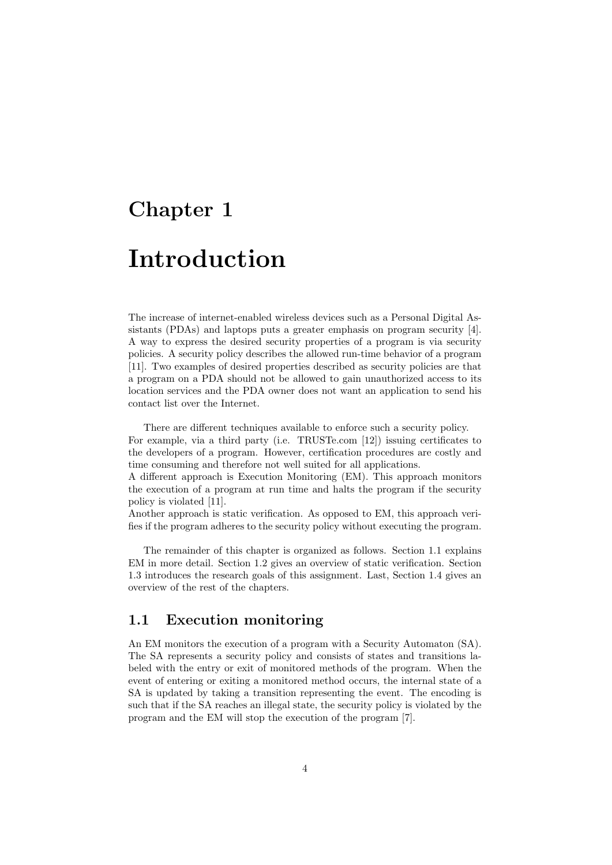### Chapter 1

## Introduction

The increase of internet-enabled wireless devices such as a Personal Digital Assistants (PDAs) and laptops puts a greater emphasis on program security [4]. A way to express the desired security properties of a program is via security policies. A security policy describes the allowed run-time behavior of a program [11]. Two examples of desired properties described as security policies are that a program on a PDA should not be allowed to gain unauthorized access to its location services and the PDA owner does not want an application to send his contact list over the Internet.

There are different techniques available to enforce such a security policy.

For example, via a third party (i.e. TRUSTe.com [12]) issuing certificates to the developers of a program. However, certification procedures are costly and time consuming and therefore not well suited for all applications.

A different approach is Execution Monitoring (EM). This approach monitors the execution of a program at run time and halts the program if the security policy is violated [11].

Another approach is static verification. As opposed to EM, this approach verifies if the program adheres to the security policy without executing the program.

The remainder of this chapter is organized as follows. Section 1.1 explains EM in more detail. Section 1.2 gives an overview of static verification. Section 1.3 introduces the research goals of this assignment. Last, Section 1.4 gives an overview of the rest of the chapters.

#### 1.1 Execution monitoring

An EM monitors the execution of a program with a Security Automaton (SA). The SA represents a security policy and consists of states and transitions labeled with the entry or exit of monitored methods of the program. When the event of entering or exiting a monitored method occurs, the internal state of a SA is updated by taking a transition representing the event. The encoding is such that if the SA reaches an illegal state, the security policy is violated by the program and the EM will stop the execution of the program [7].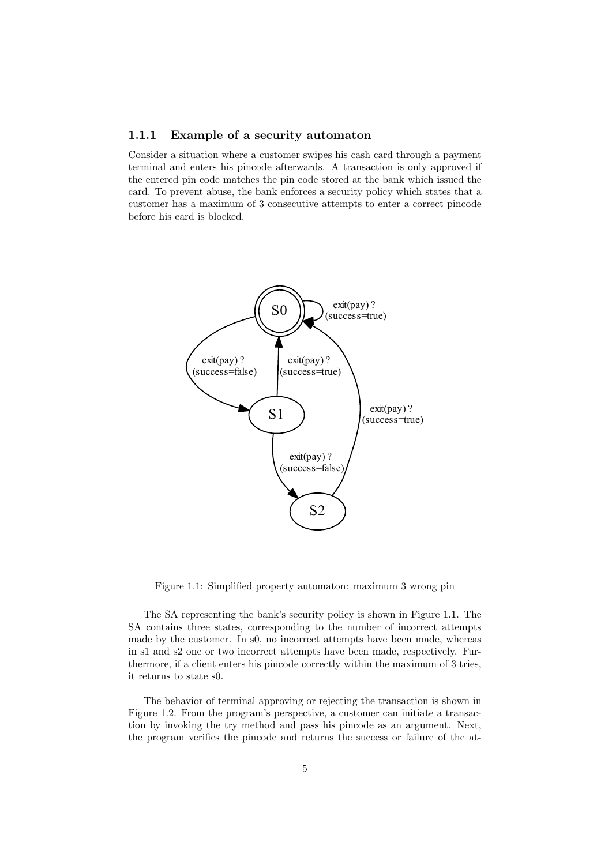#### 1.1.1 Example of a security automaton

Consider a situation where a customer swipes his cash card through a payment terminal and enters his pincode afterwards. A transaction is only approved if the entered pin code matches the pin code stored at the bank which issued the card. To prevent abuse, the bank enforces a security policy which states that a customer has a maximum of 3 consecutive attempts to enter a correct pincode before his card is blocked.



Figure 1.1: Simplified property automaton: maximum 3 wrong pin

The SA representing the bank's security policy is shown in Figure 1.1. The SA contains three states, corresponding to the number of incorrect attempts made by the customer. In s0, no incorrect attempts have been made, whereas in s1 and s2 one or two incorrect attempts have been made, respectively. Furthermore, if a client enters his pincode correctly within the maximum of 3 tries, it returns to state s0.

The behavior of terminal approving or rejecting the transaction is shown in Figure 1.2. From the program's perspective, a customer can initiate a transaction by invoking the try method and pass his pincode as an argument. Next, the program verifies the pincode and returns the success or failure of the at-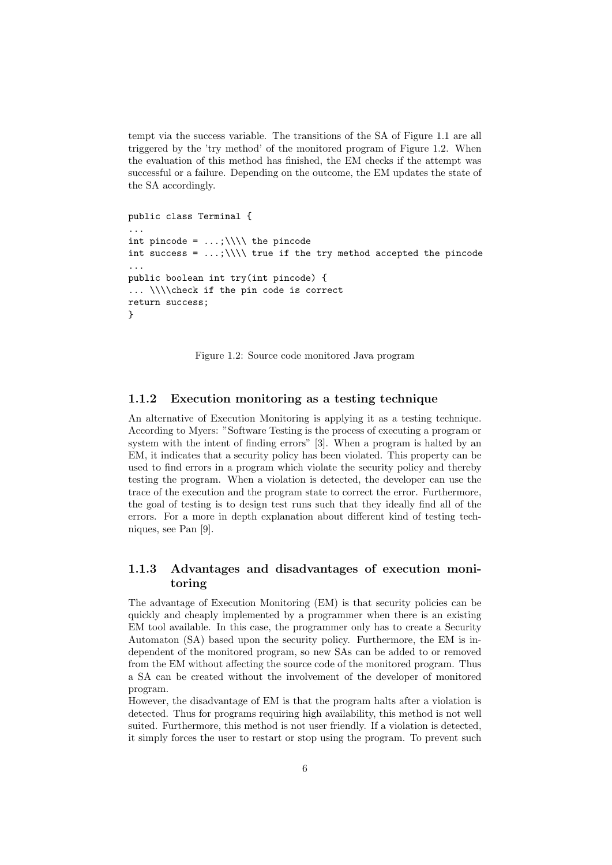tempt via the success variable. The transitions of the SA of Figure 1.1 are all triggered by the 'try method' of the monitored program of Figure 1.2. When the evaluation of this method has finished, the EM checks if the attempt was successful or a failure. Depending on the outcome, the EM updates the state of the SA accordingly.

```
public class Terminal {
...
int pincode = \ldots; \\\\ the pincode
int success = \ldots; \\\\ true if the try method accepted the pincode
...
public boolean int try(int pincode) {
... \\\\check if the pin code is correct
return success;
}
```
Figure 1.2: Source code monitored Java program

#### 1.1.2 Execution monitoring as a testing technique

An alternative of Execution Monitoring is applying it as a testing technique. According to Myers: "Software Testing is the process of executing a program or system with the intent of finding errors" [3]. When a program is halted by an EM, it indicates that a security policy has been violated. This property can be used to find errors in a program which violate the security policy and thereby testing the program. When a violation is detected, the developer can use the trace of the execution and the program state to correct the error. Furthermore, the goal of testing is to design test runs such that they ideally find all of the errors. For a more in depth explanation about different kind of testing techniques, see Pan [9].

#### 1.1.3 Advantages and disadvantages of execution monitoring

The advantage of Execution Monitoring (EM) is that security policies can be quickly and cheaply implemented by a programmer when there is an existing EM tool available. In this case, the programmer only has to create a Security Automaton (SA) based upon the security policy. Furthermore, the EM is independent of the monitored program, so new SAs can be added to or removed from the EM without affecting the source code of the monitored program. Thus a SA can be created without the involvement of the developer of monitored program.

However, the disadvantage of EM is that the program halts after a violation is detected. Thus for programs requiring high availability, this method is not well suited. Furthermore, this method is not user friendly. If a violation is detected, it simply forces the user to restart or stop using the program. To prevent such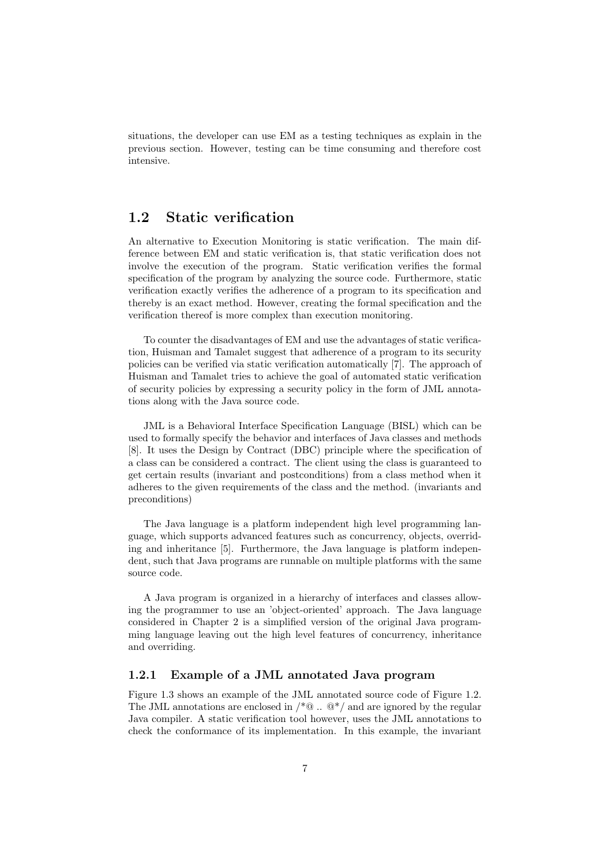situations, the developer can use EM as a testing techniques as explain in the previous section. However, testing can be time consuming and therefore cost intensive.

#### 1.2 Static verification

An alternative to Execution Monitoring is static verification. The main difference between EM and static verification is, that static verification does not involve the execution of the program. Static verification verifies the formal specification of the program by analyzing the source code. Furthermore, static verification exactly verifies the adherence of a program to its specification and thereby is an exact method. However, creating the formal specification and the verification thereof is more complex than execution monitoring.

To counter the disadvantages of EM and use the advantages of static verification, Huisman and Tamalet suggest that adherence of a program to its security policies can be verified via static verification automatically [7]. The approach of Huisman and Tamalet tries to achieve the goal of automated static verification of security policies by expressing a security policy in the form of JML annotations along with the Java source code.

JML is a Behavioral Interface Specification Language (BISL) which can be used to formally specify the behavior and interfaces of Java classes and methods [8]. It uses the Design by Contract (DBC) principle where the specification of a class can be considered a contract. The client using the class is guaranteed to get certain results (invariant and postconditions) from a class method when it adheres to the given requirements of the class and the method. (invariants and preconditions)

The Java language is a platform independent high level programming language, which supports advanced features such as concurrency, objects, overriding and inheritance [5]. Furthermore, the Java language is platform independent, such that Java programs are runnable on multiple platforms with the same source code.

A Java program is organized in a hierarchy of interfaces and classes allowing the programmer to use an 'object-oriented' approach. The Java language considered in Chapter 2 is a simplified version of the original Java programming language leaving out the high level features of concurrency, inheritance and overriding.

#### 1.2.1 Example of a JML annotated Java program

Figure 1.3 shows an example of the JML annotated source code of Figure 1.2. The JML annotations are enclosed in  $\mathcal{V}^* @ \dots @ \mathcal{V}$  and are ignored by the regular Java compiler. A static verification tool however, uses the JML annotations to check the conformance of its implementation. In this example, the invariant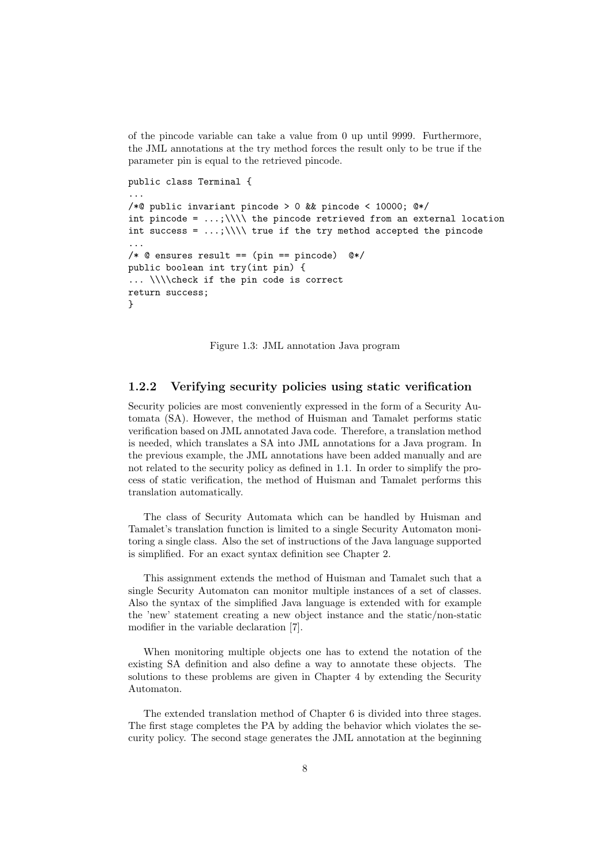of the pincode variable can take a value from 0 up until 9999. Furthermore, the JML annotations at the try method forces the result only to be true if the parameter pin is equal to the retrieved pincode.

```
public class Terminal {
...
/*@ public invariant pincode > 0 && pincode < 10000; @*/
int pincode = \ldots; \\\\ the pincode retrieved from an external location
int success = \ldots; \\\\ true if the try method accepted the pincode
...
/* @ ensures result == (pin == pincode) @*/
public boolean int try(int pin) {
... \\\\check if the pin code is correct
return success;
}
```
Figure 1.3: JML annotation Java program

#### 1.2.2 Verifying security policies using static verification

Security policies are most conveniently expressed in the form of a Security Automata (SA). However, the method of Huisman and Tamalet performs static verification based on JML annotated Java code. Therefore, a translation method is needed, which translates a SA into JML annotations for a Java program. In the previous example, the JML annotations have been added manually and are not related to the security policy as defined in 1.1. In order to simplify the process of static verification, the method of Huisman and Tamalet performs this translation automatically.

The class of Security Automata which can be handled by Huisman and Tamalet's translation function is limited to a single Security Automaton monitoring a single class. Also the set of instructions of the Java language supported is simplified. For an exact syntax definition see Chapter 2.

This assignment extends the method of Huisman and Tamalet such that a single Security Automaton can monitor multiple instances of a set of classes. Also the syntax of the simplified Java language is extended with for example the 'new' statement creating a new object instance and the static/non-static modifier in the variable declaration [7].

When monitoring multiple objects one has to extend the notation of the existing SA definition and also define a way to annotate these objects. The solutions to these problems are given in Chapter 4 by extending the Security Automaton.

The extended translation method of Chapter 6 is divided into three stages. The first stage completes the PA by adding the behavior which violates the security policy. The second stage generates the JML annotation at the beginning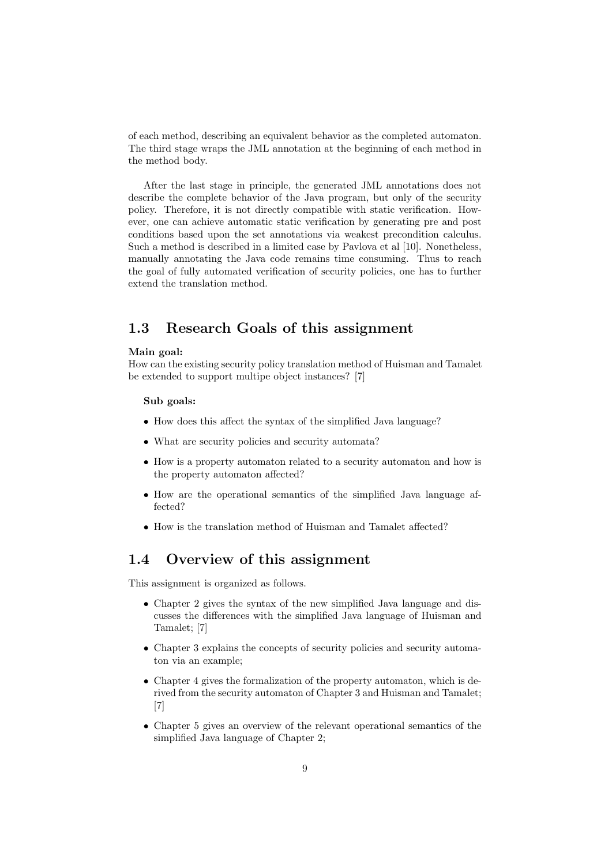of each method, describing an equivalent behavior as the completed automaton. The third stage wraps the JML annotation at the beginning of each method in the method body.

After the last stage in principle, the generated JML annotations does not describe the complete behavior of the Java program, but only of the security policy. Therefore, it is not directly compatible with static verification. However, one can achieve automatic static verification by generating pre and post conditions based upon the set annotations via weakest precondition calculus. Such a method is described in a limited case by Pavlova et al [10]. Nonetheless, manually annotating the Java code remains time consuming. Thus to reach the goal of fully automated verification of security policies, one has to further extend the translation method.

#### 1.3 Research Goals of this assignment

#### Main goal:

How can the existing security policy translation method of Huisman and Tamalet be extended to support multipe object instances? [7]

#### Sub goals:

- How does this affect the syntax of the simplified Java language?
- What are security policies and security automata?
- How is a property automaton related to a security automaton and how is the property automaton affected?
- How are the operational semantics of the simplified Java language affected?
- How is the translation method of Huisman and Tamalet affected?

#### 1.4 Overview of this assignment

This assignment is organized as follows.

- Chapter 2 gives the syntax of the new simplified Java language and discusses the differences with the simplified Java language of Huisman and Tamalet; [7]
- Chapter 3 explains the concepts of security policies and security automaton via an example;
- Chapter 4 gives the formalization of the property automaton, which is derived from the security automaton of Chapter 3 and Huisman and Tamalet; [7]
- Chapter 5 gives an overview of the relevant operational semantics of the simplified Java language of Chapter 2;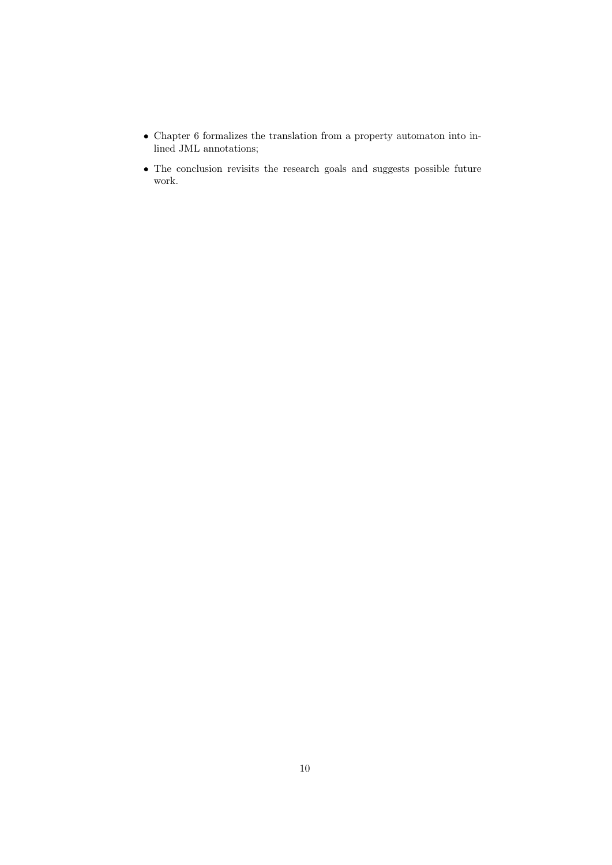- Chapter 6 formalizes the translation from a property automaton into inlined JML annotations;
- The conclusion revisits the research goals and suggests possible future work.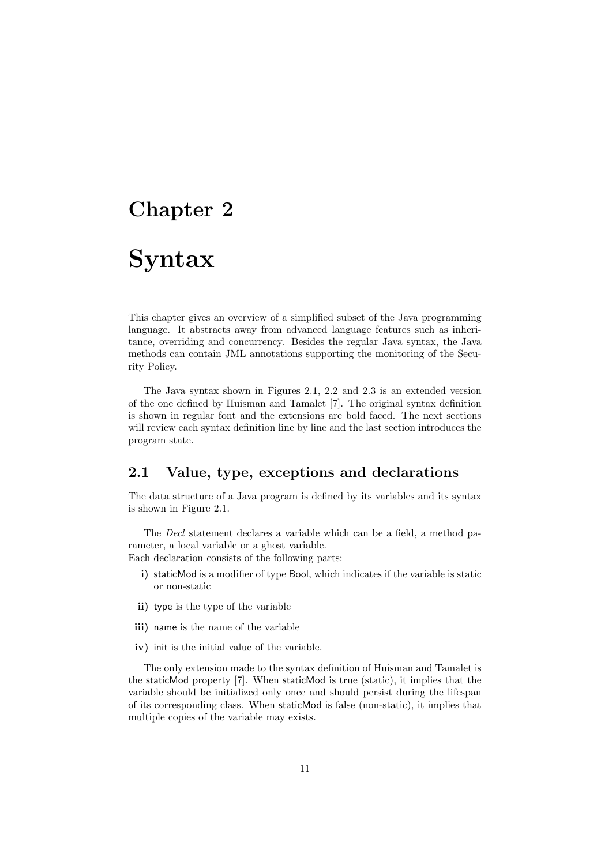### Chapter 2

## Syntax

This chapter gives an overview of a simplified subset of the Java programming language. It abstracts away from advanced language features such as inheritance, overriding and concurrency. Besides the regular Java syntax, the Java methods can contain JML annotations supporting the monitoring of the Security Policy.

The Java syntax shown in Figures 2.1, 2.2 and 2.3 is an extended version of the one defined by Huisman and Tamalet [7]. The original syntax definition is shown in regular font and the extensions are bold faced. The next sections will review each syntax definition line by line and the last section introduces the program state.

#### 2.1 Value, type, exceptions and declarations

The data structure of a Java program is defined by its variables and its syntax is shown in Figure 2.1.

The Decl statement declares a variable which can be a field, a method parameter, a local variable or a ghost variable.

Each declaration consists of the following parts:

- i) staticMod is a modifier of type Bool, which indicates if the variable is static or non-static
- ii) type is the type of the variable
- iii) name is the name of the variable
- iv) init is the initial value of the variable.

The only extension made to the syntax definition of Huisman and Tamalet is the staticMod property [7]. When staticMod is true (static), it implies that the variable should be initialized only once and should persist during the lifespan of its corresponding class. When staticMod is false (non-static), it implies that multiple copies of the variable may exists.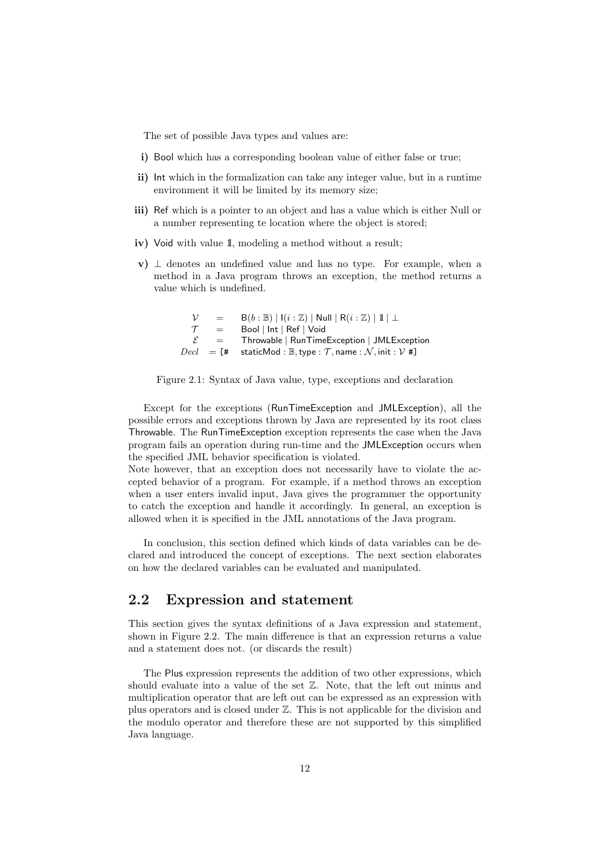The set of possible Java types and values are:

- i) Bool which has a corresponding boolean value of either false or true;
- ii) Int which in the formalization can take any integer value, but in a runtime environment it will be limited by its memory size;
- iii) Ref which is a pointer to an object and has a value which is either Null or a number representing te location where the object is stored;
- iv) Void with value 1, modeling a method without a result;
- v)  $\perp$  denotes an undefined value and has no type. For example, when a method in a Java program throws an exception, the method returns a value which is undefined.

 $\mathcal{V}$  = B(b : B) | I(i : Z) | Null | R(i : Z) | 1|  $\perp$  $\mathcal{T}$  = Bool | Int | Ref | Void  $\mathcal{E}$  = Throwable | RunTimeException | JMLException  $\text{D}ecl = [\text{#} \quad \text{staticMod} : \mathbb{B}, \text{type} : \mathcal{T}, \text{name} : \mathcal{N}, \text{init} : \mathcal{V} \text{ #}]$ 



Except for the exceptions (RunTimeException and JMLException), all the possible errors and exceptions thrown by Java are represented by its root class Throwable. The RunTimeException exception represents the case when the Java program fails an operation during run-time and the JMLException occurs when the specified JML behavior specification is violated.

Note however, that an exception does not necessarily have to violate the accepted behavior of a program. For example, if a method throws an exception when a user enters invalid input, Java gives the programmer the opportunity to catch the exception and handle it accordingly. In general, an exception is allowed when it is specified in the JML annotations of the Java program.

In conclusion, this section defined which kinds of data variables can be declared and introduced the concept of exceptions. The next section elaborates on how the declared variables can be evaluated and manipulated.

#### 2.2 Expression and statement

This section gives the syntax definitions of a Java expression and statement, shown in Figure 2.2. The main difference is that an expression returns a value and a statement does not. (or discards the result)

The Plus expression represents the addition of two other expressions, which should evaluate into a value of the set Z. Note, that the left out minus and multiplication operator that are left out can be expressed as an expression with plus operators and is closed under Z. This is not applicable for the division and the modulo operator and therefore these are not supported by this simplified Java language.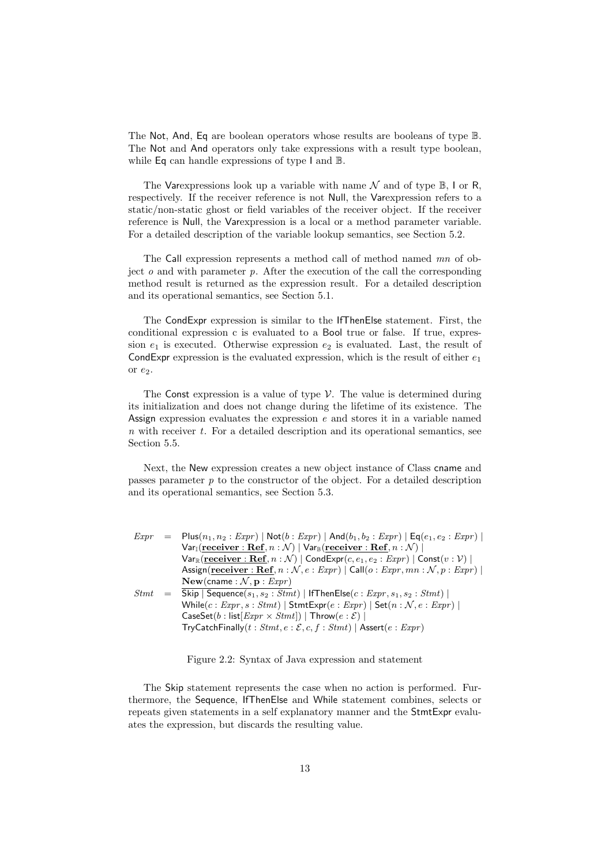The Not, And, Eq are boolean operators whose results are booleans of type B. The Not and And operators only take expressions with a result type boolean, while Eq can handle expressions of type I and B.

The Varexpressions look up a variable with name  $\mathcal N$  and of type  $\mathbb B$ , I or R, respectively. If the receiver reference is not Null, the Varexpression refers to a static/non-static ghost or field variables of the receiver object. If the receiver reference is Null, the Varexpression is a local or a method parameter variable. For a detailed description of the variable lookup semantics, see Section 5.2.

The Call expression represents a method call of method named mn of object  $o$  and with parameter  $p$ . After the execution of the call the corresponding method result is returned as the expression result. For a detailed description and its operational semantics, see Section 5.1.

The CondExpr expression is similar to the IfThenElse statement. First, the conditional expression c is evaluated to a Bool true or false. If true, expression  $e_1$  is executed. Otherwise expression  $e_2$  is evaluated. Last, the result of CondExpr expression is the evaluated expression, which is the result of either  $e_1$ or  $e_2$ .

The Const expression is a value of type  $V$ . The value is determined during its initialization and does not change during the lifetime of its existence. The Assign expression evaluates the expression  $e$  and stores it in a variable named  $n$  with receiver  $t$ . For a detailed description and its operational semantics, see Section 5.5.

Next, the New expression creates a new object instance of Class cname and passes parameter  $p$  to the constructor of the object. For a detailed description and its operational semantics, see Section 5.3.

| Expr        | $=$ Plus $(n_1, n_2 : Expr)$   Not $(b : Expr)$   And $(b_1, b_2 : Expr)$   Eq $(e_1, e_2 : Expr)$                                                  |
|-------------|-----------------------------------------------------------------------------------------------------------------------------------------------------|
|             | $Var_{\mathbb{I}}(\text{receiver}: \textbf{Ref}, n : \mathcal{N}) \mid Var_{\mathbb{B}}(\text{receiver}: \textbf{Ref}, n : \mathcal{N}) \mid$       |
|             | $Var_{\mathbb{R}}(\text{receiver}: \textbf{Ref}, n : \mathcal{N}) \mid \text{CondExpr}(c, e_1, e_2 : Expr) \mid \text{Const}(v : \mathcal{V}) \mid$ |
|             | Assign(receiver: Ref, $n : \mathcal{N}, e : Expr$ )   Call( $o : Expr, mn : \mathcal{N}, p : Expr$ )                                                |
|             | New(cname: $\mathcal{N}, \mathbf{p}$ : <i>Expr</i> )                                                                                                |
| <i>Stmt</i> | $=$ Skip   Sequence $(s_1, s_2 : Stmt)$   IfThenElse $(c : Expr, s_1, s_2 : Stmt)$                                                                  |
|             | While $(c: Expr, s: Stmt)$   StmtExpr $(e: Expr)$   Set $(n: \mathcal{N}, e: Expr)$                                                                 |
|             | $\textsf{CaseSet}(b: \textsf{list}[\textit{Expr} \times \textit{Stmt}]) \mid \textsf{Throw}(e:\mathcal{E}) \mid$                                    |
|             | $TryCatchFinally(t: Stmt, e: \mathcal{E}, c, f: Stmt)  $ Assert $(e: Expr)$                                                                         |

Figure 2.2: Syntax of Java expression and statement

The Skip statement represents the case when no action is performed. Furthermore, the Sequence, IfThenElse and While statement combines, selects or repeats given statements in a self explanatory manner and the StmtExpr evaluates the expression, but discards the resulting value.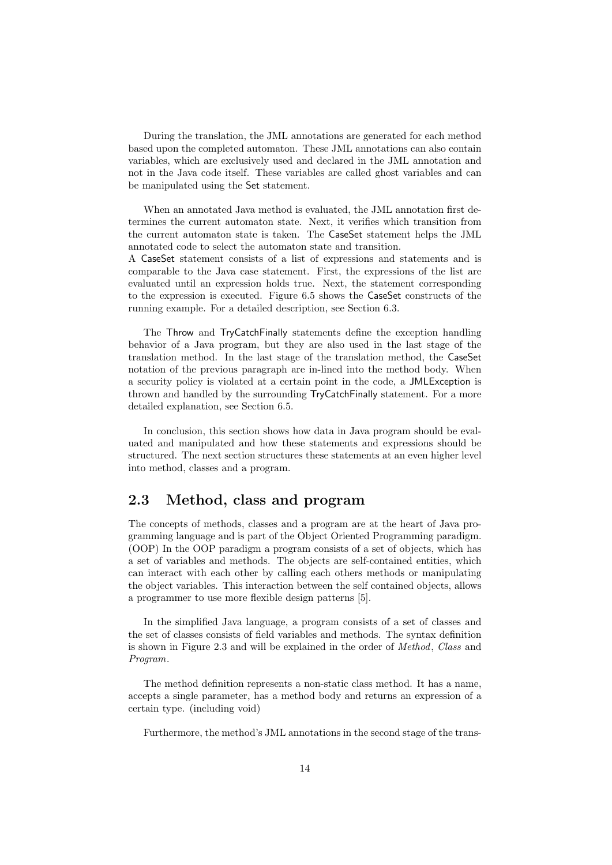During the translation, the JML annotations are generated for each method based upon the completed automaton. These JML annotations can also contain variables, which are exclusively used and declared in the JML annotation and not in the Java code itself. These variables are called ghost variables and can be manipulated using the Set statement.

When an annotated Java method is evaluated, the JML annotation first determines the current automaton state. Next, it verifies which transition from the current automaton state is taken. The CaseSet statement helps the JML annotated code to select the automaton state and transition.

A CaseSet statement consists of a list of expressions and statements and is comparable to the Java case statement. First, the expressions of the list are evaluated until an expression holds true. Next, the statement corresponding to the expression is executed. Figure 6.5 shows the CaseSet constructs of the running example. For a detailed description, see Section 6.3.

The Throw and TryCatchFinally statements define the exception handling behavior of a Java program, but they are also used in the last stage of the translation method. In the last stage of the translation method, the CaseSet notation of the previous paragraph are in-lined into the method body. When a security policy is violated at a certain point in the code, a JMLException is thrown and handled by the surrounding TryCatchFinally statement. For a more detailed explanation, see Section 6.5.

In conclusion, this section shows how data in Java program should be evaluated and manipulated and how these statements and expressions should be structured. The next section structures these statements at an even higher level into method, classes and a program.

#### 2.3 Method, class and program

The concepts of methods, classes and a program are at the heart of Java programming language and is part of the Object Oriented Programming paradigm. (OOP) In the OOP paradigm a program consists of a set of objects, which has a set of variables and methods. The objects are self-contained entities, which can interact with each other by calling each others methods or manipulating the object variables. This interaction between the self contained objects, allows a programmer to use more flexible design patterns [5].

In the simplified Java language, a program consists of a set of classes and the set of classes consists of field variables and methods. The syntax definition is shown in Figure 2.3 and will be explained in the order of Method, Class and Program.

The method definition represents a non-static class method. It has a name, accepts a single parameter, has a method body and returns an expression of a certain type. (including void)

Furthermore, the method's JML annotations in the second stage of the trans-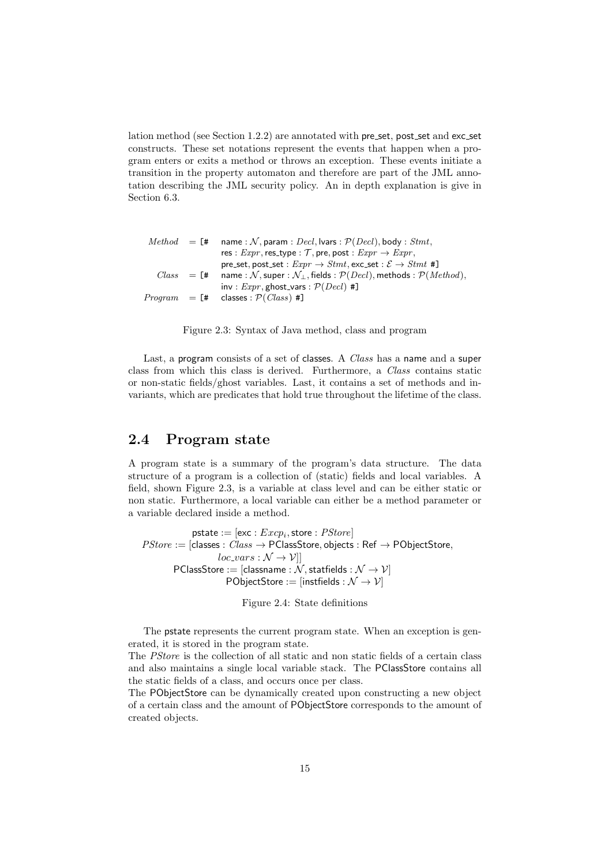lation method (see Section 1.2.2) are annotated with pre set, post set and exc set constructs. These set notations represent the events that happen when a program enters or exits a method or throws an exception. These events initiate a transition in the property automaton and therefore are part of the JML annotation describing the JML security policy. An in depth explanation is give in Section 6.3.

|  | $Method = [# \quad name : \mathcal{N}, \text{param} : Decl, \text{lyars} : \mathcal{P}(Decl), \text{body} : Stmt,$            |
|--|-------------------------------------------------------------------------------------------------------------------------------|
|  | res : $Expr$ , res_type : $\mathcal{T}$ , pre, post : $Expr \rightarrow Expr$ ,                                               |
|  | pre_set, post_set : $Expr \rightarrow Stmt$ , exc_set : $\mathcal{E} \rightarrow Stmt$ #                                      |
|  | $Class = [\text{#} \quad name : \mathcal{N}, super : \mathcal{N}, fields : \mathcal{P}(Decl), methods : \mathcal{P}(Method),$ |
|  | inv: $Expr$ , ghost_vars: $P(Decl)$ #]                                                                                        |
|  | $Program = [\# \text{ classes} : \mathcal{P}(Class) ]$                                                                        |
|  |                                                                                                                               |

Figure 2.3: Syntax of Java method, class and program

Last, a program consists of a set of classes. A *Class* has a name and a super class from which this class is derived. Furthermore, a Class contains static or non-static fields/ghost variables. Last, it contains a set of methods and invariants, which are predicates that hold true throughout the lifetime of the class.

#### 2.4 Program state

A program state is a summary of the program's data structure. The data structure of a program is a collection of (static) fields and local variables. A field, shown Figure 2.3, is a variable at class level and can be either static or non static. Furthermore, a local variable can either be a method parameter or a variable declared inside a method.

 $\mathsf{pstate} := [\mathsf{exc}: \mathit{Excp}_i, \mathsf{store}: \mathit{PStore}]$  $PStore := [classes: Class \rightarrow PClassesStore, objects: Ref \rightarrow PObjectStore,$  $loc\_vars : \mathcal{N} \rightarrow \mathcal{V}$ ]  $\textsf{PClassStore} := [\textsf{classname} : \dot{\mathcal{N}}, \textsf{statfields} : \mathcal{N} \rightarrow \mathcal{V}]$ PObjectStore := [instfields :  $\mathcal{N} \rightarrow \mathcal{V}$ ]

Figure 2.4: State definitions

The pstate represents the current program state. When an exception is generated, it is stored in the program state.

The PStore is the collection of all static and non static fields of a certain class and also maintains a single local variable stack. The PClassStore contains all the static fields of a class, and occurs once per class.

The PObjectStore can be dynamically created upon constructing a new object of a certain class and the amount of PObjectStore corresponds to the amount of created objects.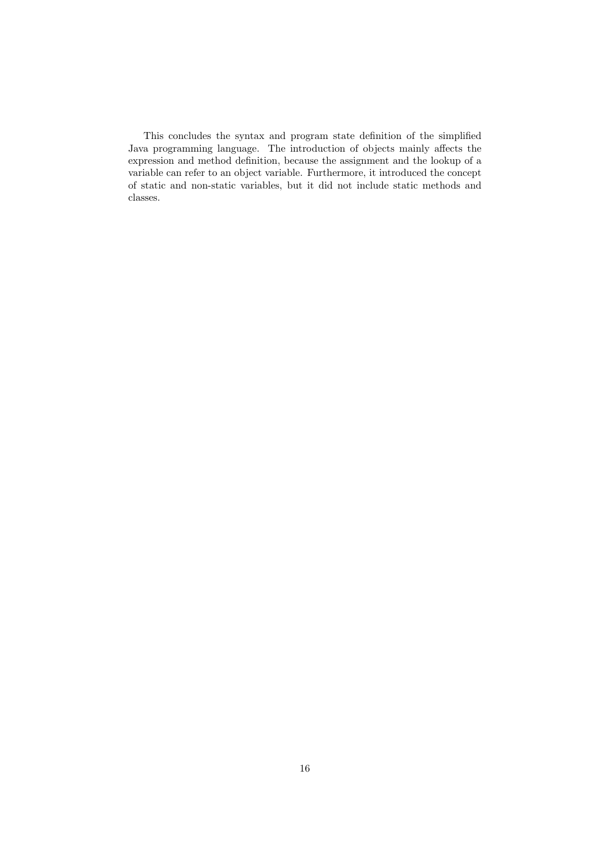This concludes the syntax and program state definition of the simplified Java programming language. The introduction of objects mainly affects the expression and method definition, because the assignment and the lookup of a variable can refer to an object variable. Furthermore, it introduced the concept of static and non-static variables, but it did not include static methods and classes.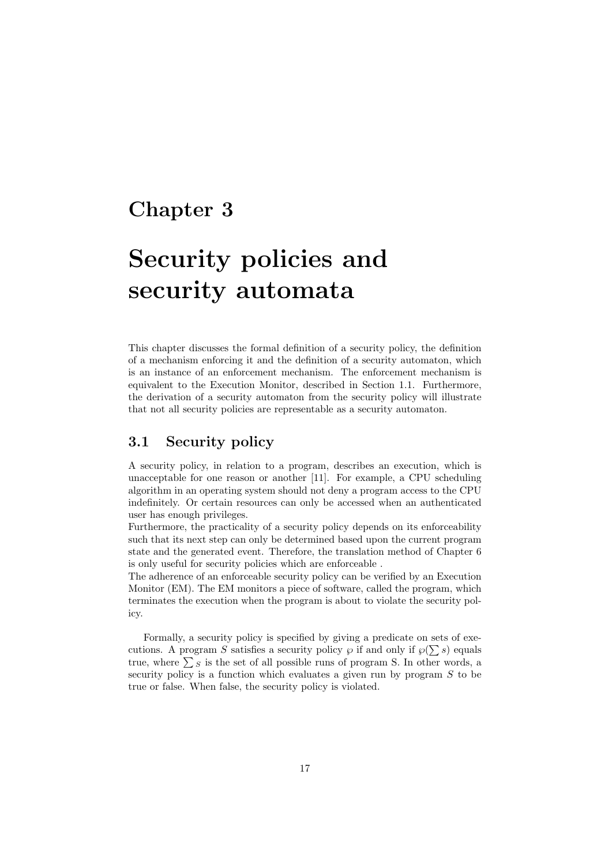### Chapter 3

## Security policies and security automata

This chapter discusses the formal definition of a security policy, the definition of a mechanism enforcing it and the definition of a security automaton, which is an instance of an enforcement mechanism. The enforcement mechanism is equivalent to the Execution Monitor, described in Section 1.1. Furthermore, the derivation of a security automaton from the security policy will illustrate that not all security policies are representable as a security automaton.

#### 3.1 Security policy

A security policy, in relation to a program, describes an execution, which is unacceptable for one reason or another [11]. For example, a CPU scheduling algorithm in an operating system should not deny a program access to the CPU indefinitely. Or certain resources can only be accessed when an authenticated user has enough privileges.

Furthermore, the practicality of a security policy depends on its enforceability such that its next step can only be determined based upon the current program state and the generated event. Therefore, the translation method of Chapter 6 is only useful for security policies which are enforceable .

The adherence of an enforceable security policy can be verified by an Execution Monitor (EM). The EM monitors a piece of software, called the program, which terminates the execution when the program is about to violate the security policy.

Formally, a security policy is specified by giving a predicate on sets of executions. A program S satisfies a security policy  $\wp$  if and only if  $\wp(\sum s)$  equals true, where  $\sum s$  is the set of all possible runs of program S. In other words, a security policy is a function which evaluates a given run by program  $S$  to be true or false. When false, the security policy is violated.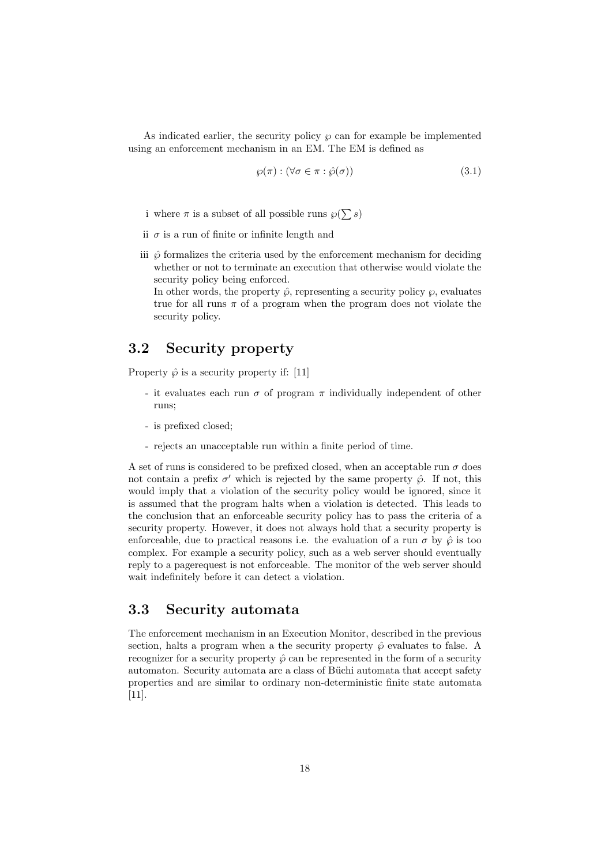As indicated earlier, the security policy  $\wp$  can for example be implemented using an enforcement mechanism in an EM. The EM is defined as

$$
\wp(\pi) : (\forall \sigma \in \pi : \hat{\wp}(\sigma)) \tag{3.1}
$$

- i where  $\pi$  is a subset of all possible runs  $\wp(\sum s)$
- ii  $\sigma$  is a run of finite or infinite length and
- iii  $\hat{\varphi}$  formalizes the criteria used by the enforcement mechanism for deciding whether or not to terminate an execution that otherwise would violate the security policy being enforced.

In other words, the property  $\hat{\varphi}$ , representing a security policy  $\varphi$ , evaluates true for all runs  $\pi$  of a program when the program does not violate the security policy.

#### 3.2 Security property

Property  $\hat{\varphi}$  is a security property if: [11]

- it evaluates each run  $\sigma$  of program  $\pi$  individually independent of other runs;
- is prefixed closed;
- rejects an unacceptable run within a finite period of time.

A set of runs is considered to be prefixed closed, when an acceptable run  $\sigma$  does not contain a prefix  $\sigma'$  which is rejected by the same property  $\hat{\wp}$ . If not, this would imply that a violation of the security policy would be ignored, since it is assumed that the program halts when a violation is detected. This leads to the conclusion that an enforceable security policy has to pass the criteria of a security property. However, it does not always hold that a security property is enforceable, due to practical reasons i.e. the evaluation of a run  $\sigma$  by  $\hat{\varphi}$  is too complex. For example a security policy, such as a web server should eventually reply to a pagerequest is not enforceable. The monitor of the web server should wait indefinitely before it can detect a violation.

#### 3.3 Security automata

The enforcement mechanism in an Execution Monitor, described in the previous section, halts a program when a the security property  $\hat{\varphi}$  evaluates to false. A recognizer for a security property  $\hat{\varphi}$  can be represented in the form of a security automaton. Security automata are a class of Büchi automata that accept safety properties and are similar to ordinary non-deterministic finite state automata [11].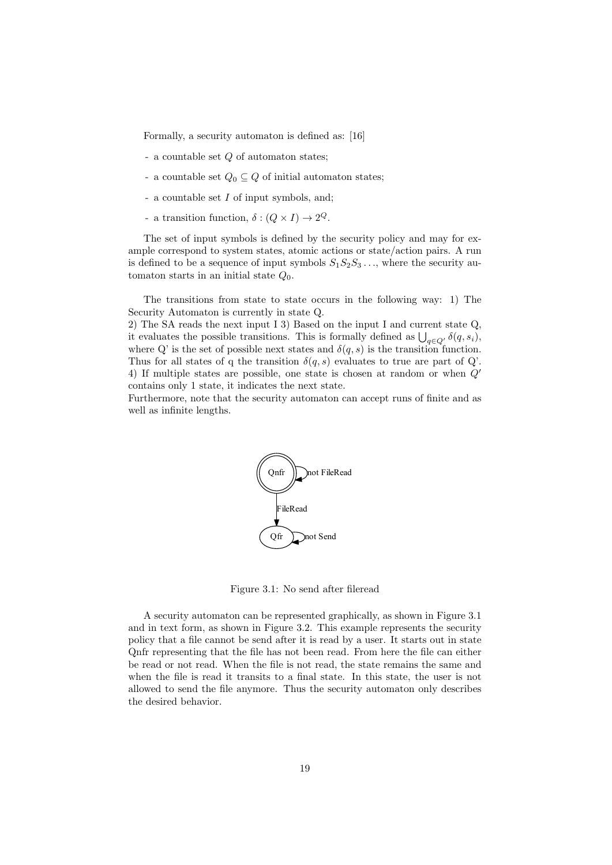Formally, a security automaton is defined as: [16]

- a countable set Q of automaton states;
- a countable set  $Q_0 \subseteq Q$  of initial automaton states;
- a countable set I of input symbols, and;
- a transition function,  $\delta : (Q \times I) \to 2^Q$ .

The set of input symbols is defined by the security policy and may for example correspond to system states, atomic actions or state/action pairs. A run is defined to be a sequence of input symbols  $S_1S_2S_3...$ , where the security automaton starts in an initial state  $Q_0$ .

The transitions from state to state occurs in the following way: 1) The Security Automaton is currently in state Q.

2) The SA reads the next input I 3) Based on the input I and current state Q, it evaluates the possible transitions. This is formally defined as  $\bigcup_{q\in Q'} \delta(q, s_i)$ , where Q' is the set of possible next states and  $\delta(q,s)$  is the transition function. Thus for all states of q the transition  $\delta(q, s)$  evaluates to true are part of Q'. 4) If multiple states are possible, one state is chosen at random or when  $Q'$ contains only 1 state, it indicates the next state.

Furthermore, note that the security automaton can accept runs of finite and as well as infinite lengths.



Figure 3.1: No send after fileread

A security automaton can be represented graphically, as shown in Figure 3.1 and in text form, as shown in Figure 3.2. This example represents the security policy that a file cannot be send after it is read by a user. It starts out in state Qnfr representing that the file has not been read. From here the file can either be read or not read. When the file is not read, the state remains the same and when the file is read it transits to a final state. In this state, the user is not allowed to send the file anymore. Thus the security automaton only describes the desired behavior.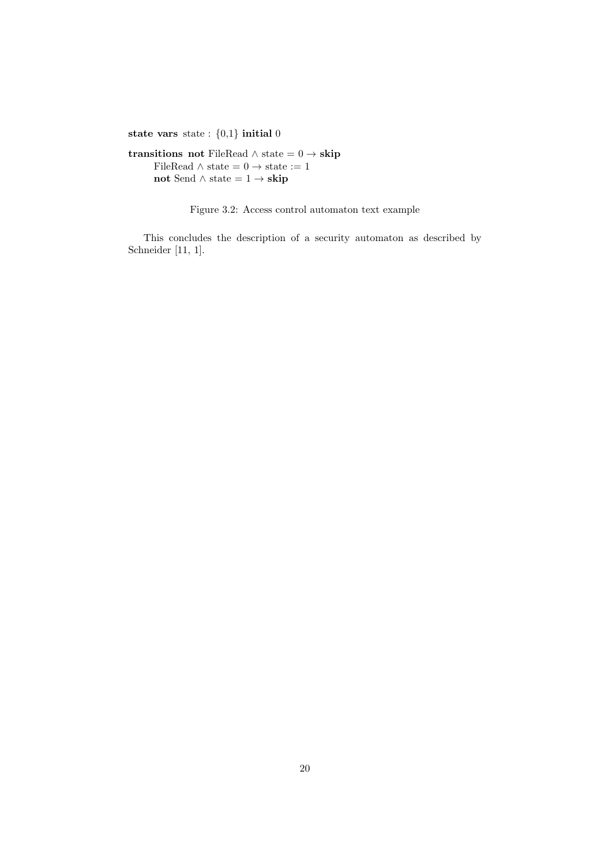state vars state :  $\{0,1\}$  initial 0

transitions not FileRead  $\land$  state =  $0 \rightarrow$  skip FileRead  $\wedge$  state = 0  $\rightarrow$  state := 1 not Send  $\land$  state = 1  $\rightarrow$  skip

Figure 3.2: Access control automaton text example

This concludes the description of a security automaton as described by Schneider [11, 1].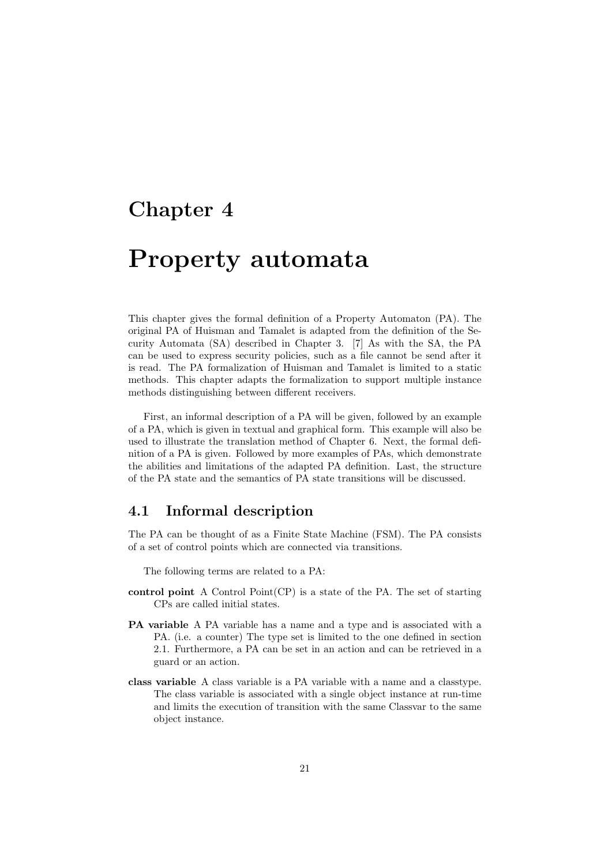### Chapter 4

## Property automata

This chapter gives the formal definition of a Property Automaton (PA). The original PA of Huisman and Tamalet is adapted from the definition of the Security Automata (SA) described in Chapter 3. [7] As with the SA, the PA can be used to express security policies, such as a file cannot be send after it is read. The PA formalization of Huisman and Tamalet is limited to a static methods. This chapter adapts the formalization to support multiple instance methods distinguishing between different receivers.

First, an informal description of a PA will be given, followed by an example of a PA, which is given in textual and graphical form. This example will also be used to illustrate the translation method of Chapter 6. Next, the formal definition of a PA is given. Followed by more examples of PAs, which demonstrate the abilities and limitations of the adapted PA definition. Last, the structure of the PA state and the semantics of PA state transitions will be discussed.

#### 4.1 Informal description

The PA can be thought of as a Finite State Machine (FSM). The PA consists of a set of control points which are connected via transitions.

The following terms are related to a PA:

- control point A Control Point(CP) is a state of the PA. The set of starting CPs are called initial states.
- PA variable A PA variable has a name and a type and is associated with a PA. (i.e. a counter) The type set is limited to the one defined in section 2.1. Furthermore, a PA can be set in an action and can be retrieved in a guard or an action.
- class variable A class variable is a PA variable with a name and a classtype. The class variable is associated with a single object instance at run-time and limits the execution of transition with the same Classvar to the same object instance.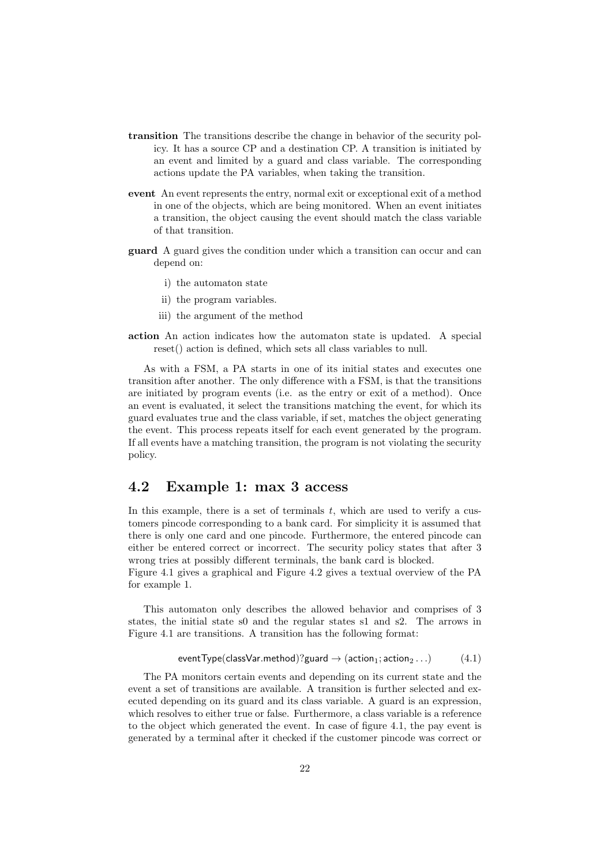- transition The transitions describe the change in behavior of the security policy. It has a source CP and a destination CP. A transition is initiated by an event and limited by a guard and class variable. The corresponding actions update the PA variables, when taking the transition.
- event An event represents the entry, normal exit or exceptional exit of a method in one of the objects, which are being monitored. When an event initiates a transition, the object causing the event should match the class variable of that transition.
- guard A guard gives the condition under which a transition can occur and can depend on:
	- i) the automaton state
	- ii) the program variables.
	- iii) the argument of the method
- action An action indicates how the automaton state is updated. A special reset() action is defined, which sets all class variables to null.

As with a FSM, a PA starts in one of its initial states and executes one transition after another. The only difference with a FSM, is that the transitions are initiated by program events (i.e. as the entry or exit of a method). Once an event is evaluated, it select the transitions matching the event, for which its guard evaluates true and the class variable, if set, matches the object generating the event. This process repeats itself for each event generated by the program. If all events have a matching transition, the program is not violating the security policy.

#### 4.2 Example 1: max 3 access

In this example, there is a set of terminals  $t$ , which are used to verify a customers pincode corresponding to a bank card. For simplicity it is assumed that there is only one card and one pincode. Furthermore, the entered pincode can either be entered correct or incorrect. The security policy states that after 3 wrong tries at possibly different terminals, the bank card is blocked.

Figure 4.1 gives a graphical and Figure 4.2 gives a textual overview of the PA for example 1.

This automaton only describes the allowed behavior and comprises of 3 states, the initial state s0 and the regular states s1 and s2. The arrows in Figure 4.1 are transitions. A transition has the following format:

$$
eventType (classVar . method)? \text{guard} \rightarrow (action_1; action_2 ...)
$$
 (4.1)

The PA monitors certain events and depending on its current state and the event a set of transitions are available. A transition is further selected and executed depending on its guard and its class variable. A guard is an expression, which resolves to either true or false. Furthermore, a class variable is a reference to the object which generated the event. In case of figure 4.1, the pay event is generated by a terminal after it checked if the customer pincode was correct or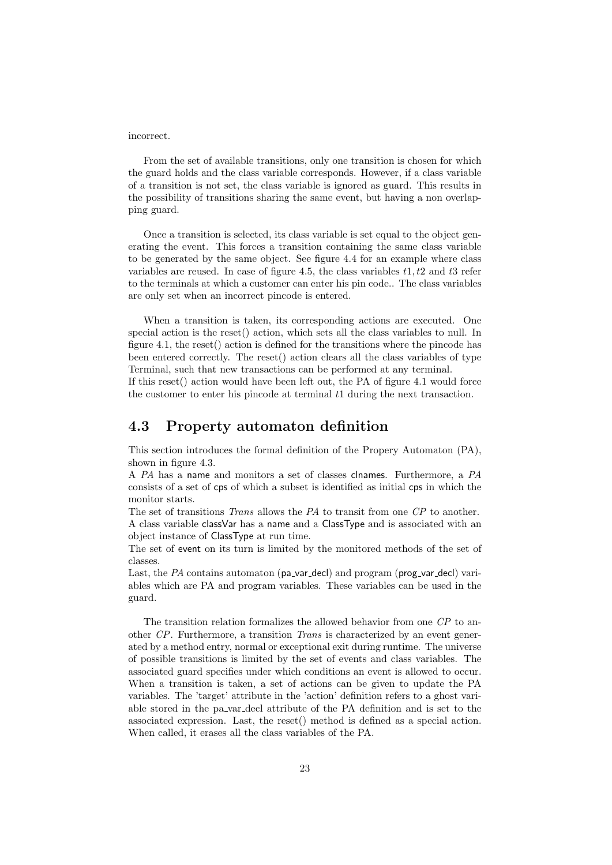incorrect.

From the set of available transitions, only one transition is chosen for which the guard holds and the class variable corresponds. However, if a class variable of a transition is not set, the class variable is ignored as guard. This results in the possibility of transitions sharing the same event, but having a non overlapping guard.

Once a transition is selected, its class variable is set equal to the object generating the event. This forces a transition containing the same class variable to be generated by the same object. See figure 4.4 for an example where class variables are reused. In case of figure 4.5, the class variables  $t_1, t_2$  and  $t_3$  refer to the terminals at which a customer can enter his pin code.. The class variables are only set when an incorrect pincode is entered.

When a transition is taken, its corresponding actions are executed. One special action is the reset() action, which sets all the class variables to null. In figure 4.1, the reset() action is defined for the transitions where the pincode has been entered correctly. The reset() action clears all the class variables of type Terminal, such that new transactions can be performed at any terminal.

If this reset() action would have been left out, the PA of figure 4.1 would force the customer to enter his pincode at terminal  $t_1$  during the next transaction.

#### 4.3 Property automaton definition

This section introduces the formal definition of the Propery Automaton (PA), shown in figure 4.3.

A PA has a name and monitors a set of classes clnames. Furthermore, a PA consists of a set of cps of which a subset is identified as initial cps in which the monitor starts.

The set of transitions Trans allows the PA to transit from one CP to another. A class variable classVar has a name and a ClassType and is associated with an object instance of ClassType at run time.

The set of event on its turn is limited by the monitored methods of the set of classes.

Last, the  $PA$  contains automaton (pa var decl) and program (prog var decl) variables which are PA and program variables. These variables can be used in the guard.

The transition relation formalizes the allowed behavior from one CP to another CP. Furthermore, a transition Trans is characterized by an event generated by a method entry, normal or exceptional exit during runtime. The universe of possible transitions is limited by the set of events and class variables. The associated guard specifies under which conditions an event is allowed to occur. When a transition is taken, a set of actions can be given to update the PA variables. The 'target' attribute in the 'action' definition refers to a ghost variable stored in the pa var decl attribute of the PA definition and is set to the associated expression. Last, the reset() method is defined as a special action. When called, it erases all the class variables of the PA.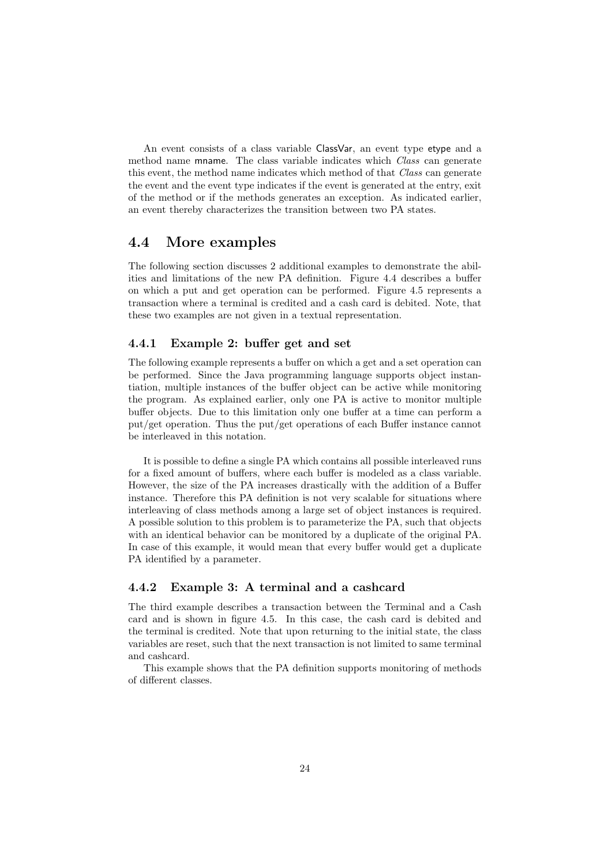An event consists of a class variable ClassVar, an event type etype and a method name mname. The class variable indicates which *Class* can generate this event, the method name indicates which method of that Class can generate the event and the event type indicates if the event is generated at the entry, exit of the method or if the methods generates an exception. As indicated earlier, an event thereby characterizes the transition between two PA states.

#### 4.4 More examples

The following section discusses 2 additional examples to demonstrate the abilities and limitations of the new PA definition. Figure 4.4 describes a buffer on which a put and get operation can be performed. Figure 4.5 represents a transaction where a terminal is credited and a cash card is debited. Note, that these two examples are not given in a textual representation.

#### 4.4.1 Example 2: buffer get and set

The following example represents a buffer on which a get and a set operation can be performed. Since the Java programming language supports object instantiation, multiple instances of the buffer object can be active while monitoring the program. As explained earlier, only one PA is active to monitor multiple buffer objects. Due to this limitation only one buffer at a time can perform a put/get operation. Thus the put/get operations of each Buffer instance cannot be interleaved in this notation.

It is possible to define a single PA which contains all possible interleaved runs for a fixed amount of buffers, where each buffer is modeled as a class variable. However, the size of the PA increases drastically with the addition of a Buffer instance. Therefore this PA definition is not very scalable for situations where interleaving of class methods among a large set of object instances is required. A possible solution to this problem is to parameterize the PA, such that objects with an identical behavior can be monitored by a duplicate of the original PA. In case of this example, it would mean that every buffer would get a duplicate PA identified by a parameter.

#### 4.4.2 Example 3: A terminal and a cashcard

The third example describes a transaction between the Terminal and a Cash card and is shown in figure 4.5. In this case, the cash card is debited and the terminal is credited. Note that upon returning to the initial state, the class variables are reset, such that the next transaction is not limited to same terminal and cashcard.

This example shows that the PA definition supports monitoring of methods of different classes.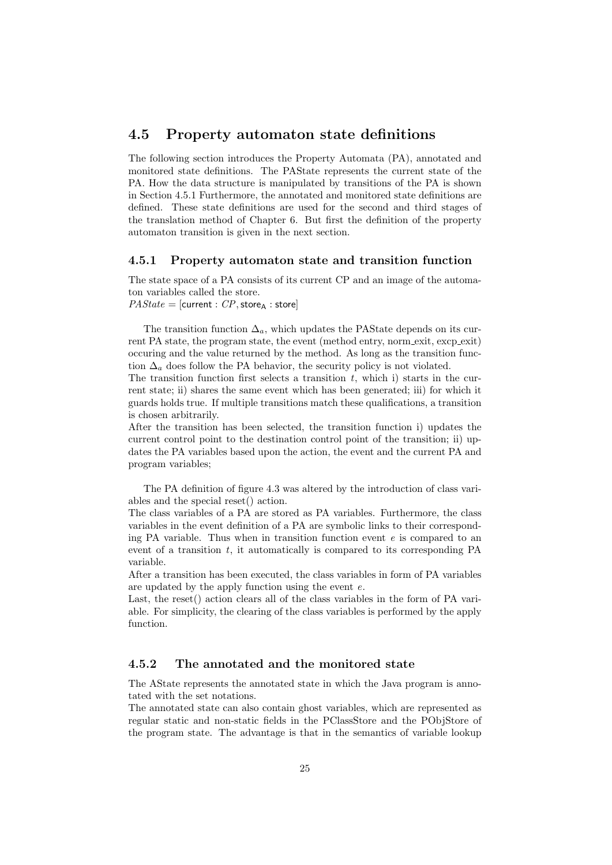#### 4.5 Property automaton state definitions

The following section introduces the Property Automata (PA), annotated and monitored state definitions. The PAState represents the current state of the PA. How the data structure is manipulated by transitions of the PA is shown in Section 4.5.1 Furthermore, the annotated and monitored state definitions are defined. These state definitions are used for the second and third stages of the translation method of Chapter 6. But first the definition of the property automaton transition is given in the next section.

#### 4.5.1 Property automaton state and transition function

The state space of a PA consists of its current CP and an image of the automaton variables called the store.

 $PAState =$ [current :  $CP$ , store<sub>A</sub> : store]

The transition function  $\Delta_a$ , which updates the PAState depends on its current PA state, the program state, the event (method entry, norm exit, excp exit) occuring and the value returned by the method. As long as the transition function  $\Delta_a$  does follow the PA behavior, the security policy is not violated.

The transition function first selects a transition  $t$ , which i) starts in the current state; ii) shares the same event which has been generated; iii) for which it guards holds true. If multiple transitions match these qualifications, a transition is chosen arbitrarily.

After the transition has been selected, the transition function i) updates the current control point to the destination control point of the transition; ii) updates the PA variables based upon the action, the event and the current PA and program variables;

The PA definition of figure 4.3 was altered by the introduction of class variables and the special reset() action.

The class variables of a PA are stored as PA variables. Furthermore, the class variables in the event definition of a PA are symbolic links to their corresponding PA variable. Thus when in transition function event  $e$  is compared to an event of a transition  $t$ , it automatically is compared to its corresponding PA variable.

After a transition has been executed, the class variables in form of PA variables are updated by the apply function using the event e.

Last, the reset() action clears all of the class variables in the form of PA variable. For simplicity, the clearing of the class variables is performed by the apply function.

#### 4.5.2 The annotated and the monitored state

The AState represents the annotated state in which the Java program is annotated with the set notations.

The annotated state can also contain ghost variables, which are represented as regular static and non-static fields in the PClassStore and the PObjStore of the program state. The advantage is that in the semantics of variable lookup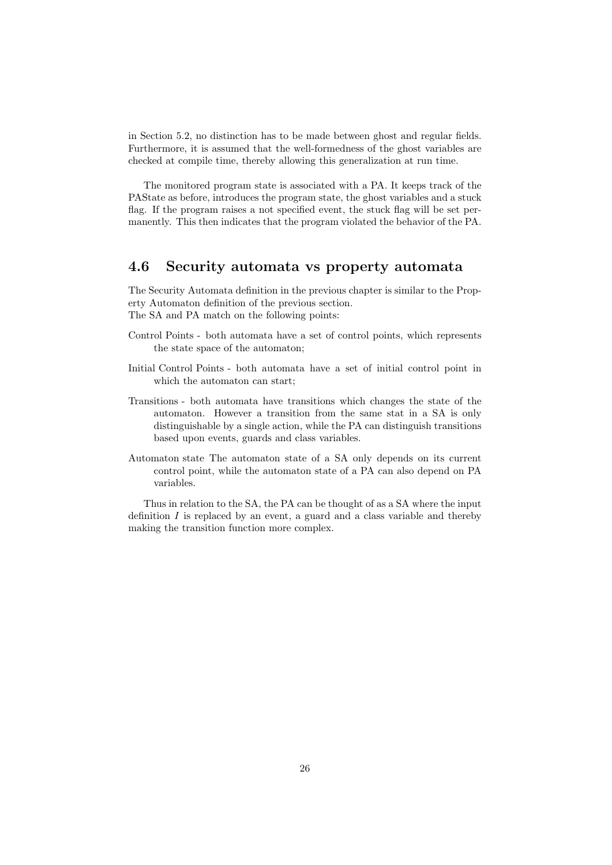in Section 5.2, no distinction has to be made between ghost and regular fields. Furthermore, it is assumed that the well-formedness of the ghost variables are checked at compile time, thereby allowing this generalization at run time.

The monitored program state is associated with a PA. It keeps track of the PAState as before, introduces the program state, the ghost variables and a stuck flag. If the program raises a not specified event, the stuck flag will be set permanently. This then indicates that the program violated the behavior of the PA.

#### 4.6 Security automata vs property automata

The Security Automata definition in the previous chapter is similar to the Property Automaton definition of the previous section. The SA and PA match on the following points:

- Control Points both automata have a set of control points, which represents the state space of the automaton;
- Initial Control Points both automata have a set of initial control point in which the automaton can start;
- Transitions both automata have transitions which changes the state of the automaton. However a transition from the same stat in a SA is only distinguishable by a single action, while the PA can distinguish transitions based upon events, guards and class variables.
- Automaton state The automaton state of a SA only depends on its current control point, while the automaton state of a PA can also depend on PA variables.

Thus in relation to the SA, the PA can be thought of as a SA where the input definition  $I$  is replaced by an event, a guard and a class variable and thereby making the transition function more complex.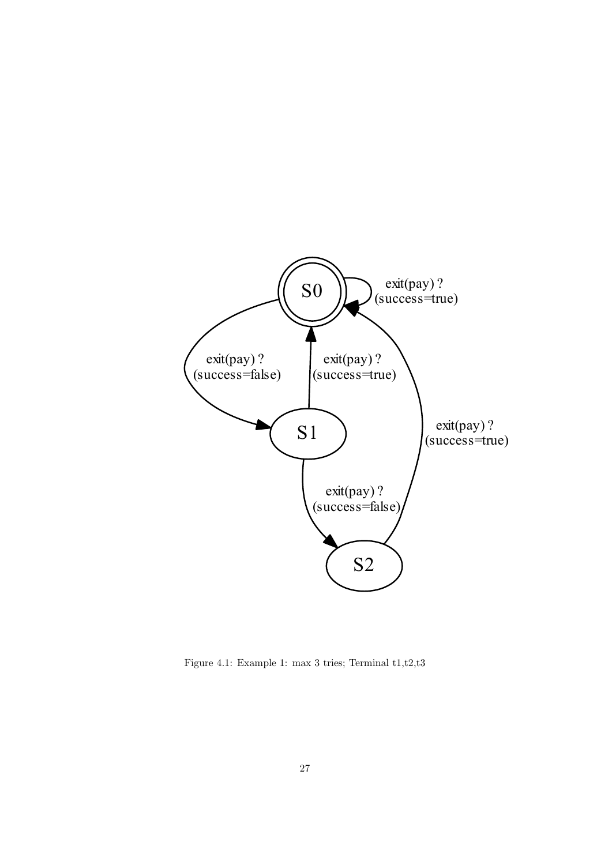

Figure 4.1: Example 1: max 3 tries; Terminal t1,t2,t3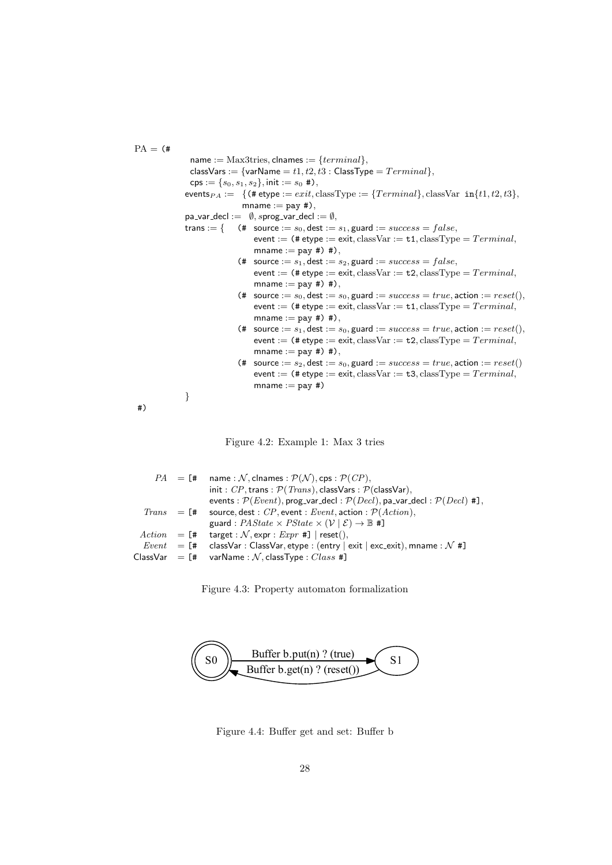$PA =$  (# name :=  $Max3tries$ , clnames :=  ${terminal}$ , classVars := {varName =  $t1, t2, t3$  : ClassType =  $Terminal$ },  $cps := \{s_0, s_1, s_2\}, \text{init} := s_0 \nleftrightarrow$ , events $P_A := \{$  (# etype :=  $exit$ , classType :=  ${Terminal}$ , classVar  $in{t1, t2, t3}$ ,  $m$ name := pay #), pa\_var\_decl :=  $\emptyset$ , sprog\_var\_decl :=  $\emptyset$ , trans := { (# source :=  $s_0$ , dest :=  $s_1$ , guard :=  $success = false$ , event := (# etype := exit, classVar :=  $t1$ , classType =  $Terminal$ , mname  $:=$  pay #) #), (# source :=  $s_1$ , dest :=  $s_2$ , guard :=  $success = false$ , event := (# etype := exit, classVar := t2, classType =  $Terminal$ , mname  $:=$  pay #) #),  $\textbf{(\# source := } s_0, \text{dest := } s_0, \text{guard := } success = true, \text{action := } reset(),$ event := (# etype := exit, classVar :=  $t1$ , classType =  $Terminal$ , mname  $:=$  pay #) #), (# source :=  $s_1$ , dest :=  $s_0$ , guard :=  $success = true$ , action :=  $reset()$ , event := (# etype := exit, classVar :=  $t2$ , classType =  $Terminal$ , mname  $:=$  pay #) #), (# source :=  $s_2$ , dest :=  $s_0$ , guard :=  $success = true$ , action :=  $reset()$ event := (# etype := exit, classVar :=  $t3$ , classType =  $Terminal$ ,  $m$ name  $:=$  pay  $#$ ) } #)

Figure 4.2: Example 1: Max 3 tries

|  | $PA = [$ # name: N, clnames: $P(N)$ , cps: $P(CP)$ ,                                                        |
|--|-------------------------------------------------------------------------------------------------------------|
|  | init: $CP$ , trans: $\mathcal{P}(Trans)$ , classVars: $\mathcal{P}(classVar)$ ,                             |
|  | events : $\mathcal{P}(Event)$ , prog_var_decl : $\mathcal{P}(Decl)$ , pa_var_decl : $\mathcal{P}(Decl)$ #], |
|  | Trans $=$ [# source, dest : CP, event : Event, action : $P(Action)$ ,                                       |
|  | guard : $PAState \times PState \times (\mathcal{V}   \mathcal{E}) \rightarrow \mathbb{B}$ #]                |
|  | $Action = [# target : N, expr : Expr #]   reset(),$                                                         |
|  | <i>Event</i> = [# classVar : ClassVar, etype : (entry   exit   exc_exit), mname : N #]                      |
|  | $\textsf{ClassVar}$ = [# varName: N, classType: $\textit{Class~#}$ ]                                        |
|  |                                                                                                             |

Figure 4.3: Property automaton formalization



Figure 4.4: Buffer get and set: Buffer b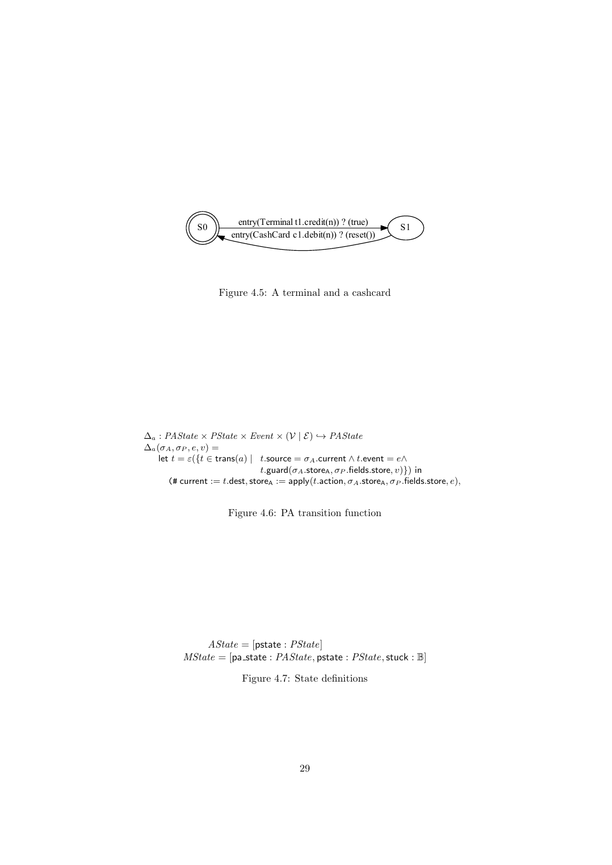

Figure 4.5: A terminal and a cashcard

 $\Delta_a$ : PAState × PState × Event ×  $(\mathcal{V} \mid \mathcal{E}) \hookrightarrow PAState$  $\Delta_a(\sigma_A, \sigma_P, e, v) =$ let  $t = \varepsilon({t \in trans(a) | t.source = \sigma_A.current \wedge t.event = e \wedge t})$ t.guard( $\sigma_A$ .store<sub>A</sub>,  $\sigma_P$ .fields.store, v) }) in (# current := t.dest, store $\alpha := \text{apply}(t.\text{action}, \sigma_A.\text{store}_A, \sigma_P.\text{fields}.\text{store}, e),$ 

Figure 4.6: PA transition function

 $\textit{AState} = [\textsf{pstate}: \textit{PState}]$  $MState = [pa\_state : PAState, pstate : PState, stuck : \mathbb{B}]$ 

Figure 4.7: State definitions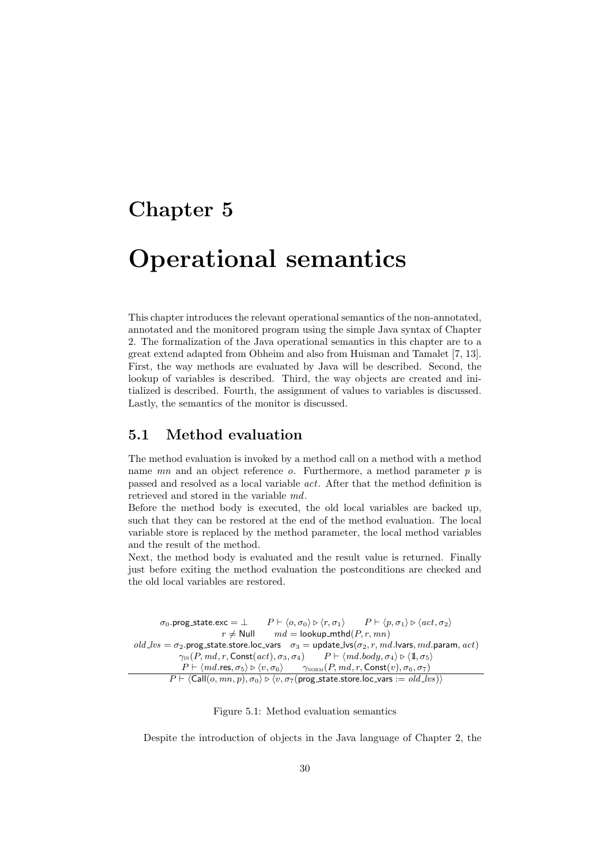### Chapter 5

## Operational semantics

This chapter introduces the relevant operational semantics of the non-annotated, annotated and the monitored program using the simple Java syntax of Chapter 2. The formalization of the Java operational semantics in this chapter are to a great extend adapted from Obheim and also from Huisman and Tamalet [7, 13]. First, the way methods are evaluated by Java will be described. Second, the lookup of variables is described. Third, the way objects are created and initialized is described. Fourth, the assignment of values to variables is discussed. Lastly, the semantics of the monitor is discussed.

#### 5.1 Method evaluation

The method evaluation is invoked by a method call on a method with a method name  $mn$  and an object reference  $o$ . Furthermore, a method parameter  $p$  is passed and resolved as a local variable act. After that the method definition is retrieved and stored in the variable md.

Before the method body is executed, the old local variables are backed up, such that they can be restored at the end of the method evaluation. The local variable store is replaced by the method parameter, the local method variables and the result of the method.

Next, the method body is evaluated and the result value is returned. Finally just before exiting the method evaluation the postconditions are checked and the old local variables are restored.

 $\sigma_0$ .prog\_state.exc =  $\perp$   $P \vdash \langle o, \sigma_0 \rangle \triangleright \langle r, \sigma_1 \rangle$  .  $P \vdash \langle p, \sigma_1 \rangle \triangleright \langle act, \sigma_2 \rangle$  $r \neq$  Null  $md =$  lookup\_mthd $(P, r, mn)$  $old\_lvs = \sigma_2$ .prog\_state.store.loc\_vars  $\sigma_3 =$  update\_lvs( $\sigma_2, r, md$ .lvars, md.param, act)  $\gamma_{\text{IN}}(P, md, r, \text{Const}(act), \sigma_3, \sigma_4)$   $P \vdash \langle md.body, \sigma_4 \rangle \triangleright \langle 1\!\!1, \sigma_5 \rangle$  $P \vdash \langle \mathit{md}.\mathsf{res}, \sigma_5\rangle \rhd \langle v, \sigma_6\rangle \qquad \gamma_{\mathrm{NORM}}(P, md, r, \mathsf{Const}(v), \sigma_6, \sigma_7)$  $P \vdash \langle \mathsf{Call}(o, mn, p), \sigma_0 \rangle \triangleright \langle v, \sigma_7(\mathsf{prog\_state}.\mathsf{store}.\mathsf{loc\_vars}:=\mathit{old\_lvs}) \rangle$ 

Figure 5.1: Method evaluation semantics

Despite the introduction of objects in the Java language of Chapter 2, the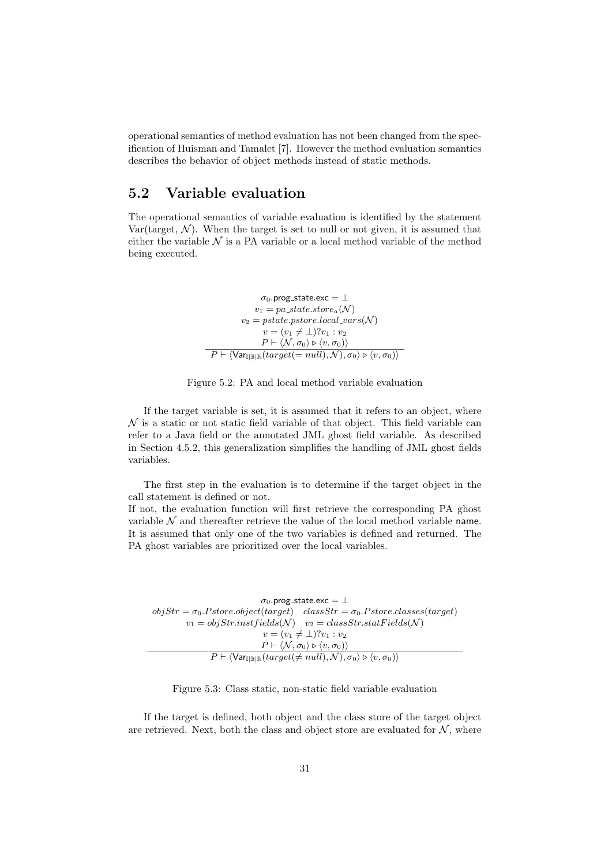operational semantics of method evaluation has not been changed from the specification of Huisman and Tamalet [7]. However the method evaluation semantics describes the behavior of object methods instead of static methods.

#### 5.2 Variable evaluation

The operational semantics of variable evaluation is identified by the statement Var(target,  $\mathcal{N}$ ). When the target is set to null or not given, it is assumed that either the variable  $\mathcal N$  is a PA variable or a local method variable of the method being executed.

$$
\sigma_0.\text{prog\_state}.\text{exc} = \bot
$$
\n
$$
v_1 = pa\_state\_store_a(\mathcal{N})
$$
\n
$$
v_2 = pstate\_pstore\_local\_vars(\mathcal{N})
$$
\n
$$
v = (v_1 \neq \bot)?v_1 : v_2
$$
\n
$$
P \vdash \langle \mathcal{N}, \sigma_0 \rangle \triangleright \langle v, \sigma_0 \rangle \rangle
$$
\n
$$
P \vdash \langle \text{Var}_{\mathbb{I} \mid \mathbb{B} \mid \mathbb{R}}(target(= null), \mathcal{N}), \sigma_0 \rangle \triangleright \langle v, \sigma_0 \rangle \rangle
$$



If the target variable is set, it is assumed that it refers to an object, where  $\mathcal N$  is a static or not static field variable of that object. This field variable can refer to a Java field or the annotated JML ghost field variable. As described in Section 4.5.2, this generalization simplifies the handling of JML ghost fields variables.

The first step in the evaluation is to determine if the target object in the call statement is defined or not.

If not, the evaluation function will first retrieve the corresponding PA ghost variable  $N$  and thereafter retrieve the value of the local method variable name. It is assumed that only one of the two variables is defined and returned. The PA ghost variables are prioritized over the local variables.

 $\sigma_0$ .prog\_state.exc =  $\perp$  $objStr = \sigma_0.Pstore.object(target)$   $classStr = \sigma_0.Pstore.classest(target)$  $v_1 = objStr.inst fields(\mathcal{N})$   $v_2 = classStr.statFields(\mathcal{N})$  $v = (v_1 \neq \bot)$ ? $v_1 : v_2$  $P \vdash \langle \mathcal{N}, \sigma_0\rangle \triangleright \langle v, \sigma_0\rangle \rangle$  $P \vdash \langle \textsf{Var}_{\mathbb{I} \mid \mathbb{B} \mid \mathbb{R}}(target(\neq null), \mathcal{N}), \sigma_0 \rangle \triangleright \langle v, \sigma_0 \rangle \rangle$ 

Figure 5.3: Class static, non-static field variable evaluation

If the target is defined, both object and the class store of the target object are retrieved. Next, both the class and object store are evaluated for  $N$ , where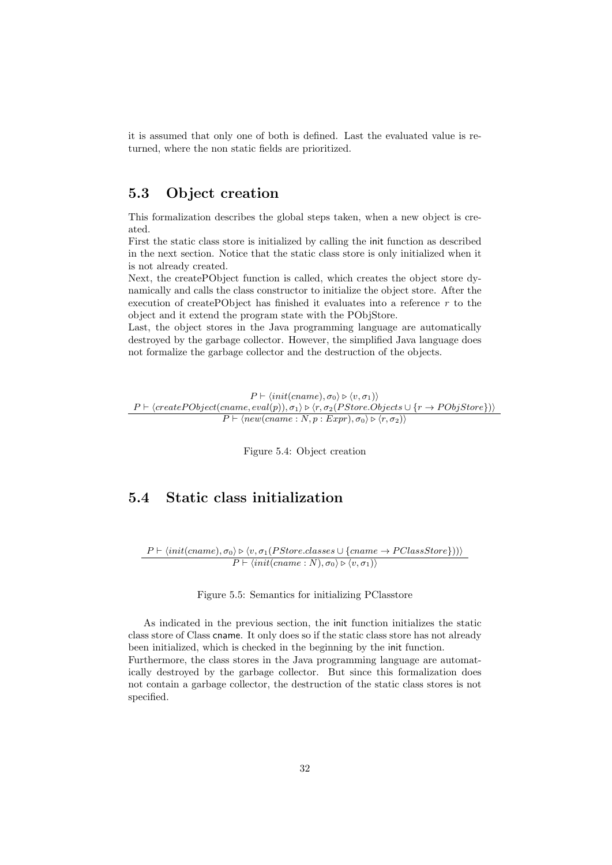it is assumed that only one of both is defined. Last the evaluated value is returned, where the non static fields are prioritized.

#### 5.3 Object creation

This formalization describes the global steps taken, when a new object is created.

First the static class store is initialized by calling the init function as described in the next section. Notice that the static class store is only initialized when it is not already created.

Next, the createPObject function is called, which creates the object store dynamically and calls the class constructor to initialize the object store. After the execution of createPObject has finished it evaluates into a reference  $r$  to the object and it extend the program state with the PObjStore.

Last, the object stores in the Java programming language are automatically destroyed by the garbage collector. However, the simplified Java language does not formalize the garbage collector and the destruction of the objects.

 $P \vdash \langle init(cname), \sigma_0 \rangle \triangleright \langle v, \sigma_1 \rangle \rangle$  $P \vdash \langle createPObject(name, eval(p)), \sigma_1 \rangle \triangleright \langle r, \sigma_2(PStore. Objects \cup \{r \rightarrow PObjStore\}) \rangle$  $P \vdash \langle new(cname : N, p : Expr), \sigma_0 \rangle \triangleright \langle r, \sigma_2 \rangle \rangle$ 

Figure 5.4: Object creation

#### 5.4 Static class initialization

 $P \vdash \langle init(cname), \sigma_0 \rangle \triangleright \langle v, \sigma_1(PStore.classes \cup \{cname \rightarrow PClassStore\}) \rangle$  $P \vdash \langle init(cname : N), \sigma_0 \rangle \triangleright \langle v, \sigma_1 \rangle \rangle$ 

Figure 5.5: Semantics for initializing PClasstore

As indicated in the previous section, the init function initializes the static class store of Class cname. It only does so if the static class store has not already been initialized, which is checked in the beginning by the init function. Furthermore, the class stores in the Java programming language are automatically destroyed by the garbage collector. But since this formalization does not contain a garbage collector, the destruction of the static class stores is not specified.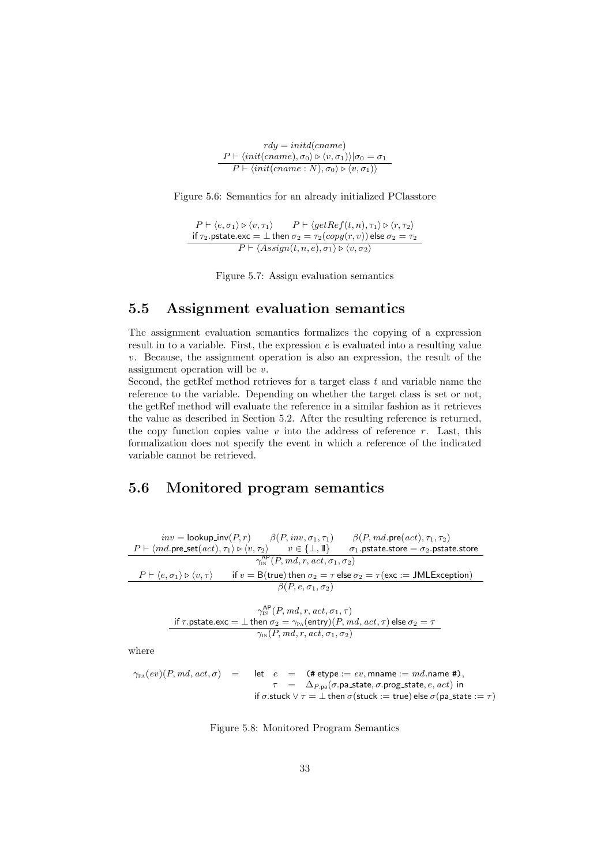| $rdy = initial(cname)$                                                                                                    |
|---------------------------------------------------------------------------------------------------------------------------|
| $P \vdash \langle init(cname), \sigma_0 \rangle \triangleright \langle v, \sigma_1 \rangle \rangle   \sigma_0 = \sigma_1$ |
| $P \vdash \langle init(cname : N), \sigma_0 \rangle \triangleright \langle v, \sigma_1 \rangle$                           |

Figure 5.6: Semantics for an already initialized PClasstore

 $P \vdash \langle e, \sigma_1 \rangle \triangleright \langle v, \tau_1 \rangle$   $P \vdash \langle getRef(t, n), \tau_1 \rangle \triangleright \langle r, \tau_2 \rangle$ if  $\tau_2.$ pstate.exc  $=\bot$  then  $\sigma_2=\tau_2(copy(r,v))$  else  $\sigma_2=\tau_2$  $P \vdash \langle Assign(t, n, e), \sigma_1 \rangle \triangleright \langle v, \sigma_2 \rangle$ 

Figure 5.7: Assign evaluation semantics

#### 5.5 Assignment evaluation semantics

The assignment evaluation semantics formalizes the copying of a expression result in to a variable. First, the expression  $e$  is evaluated into a resulting value  $v$ . Because, the assignment operation is also an expression, the result of the assignment operation will be v.

Second, the getRef method retrieves for a target class  $t$  and variable name the reference to the variable. Depending on whether the target class is set or not, the getRef method will evaluate the reference in a similar fashion as it retrieves the value as described in Section 5.2. After the resulting reference is returned, the copy function copies value  $v$  into the address of reference  $r$ . Last, this formalization does not specify the event in which a reference of the indicated variable cannot be retrieved.

#### 5.6 Monitored program semantics

*inv* = lookup\_inv(*P*,*r*) 
$$
\beta
$$
(*P*, *inv*,  $\sigma_1$ ,  $\tau_1$ )  $\beta$ (*P*, *md*.pre(*act*),  $\tau_1$ ,  $\tau_2$ )  
\n*P* +  $\langle md$ .pre\_set(*act*),  $\tau_1 \rangle \triangleright \langle v, \tau_2 \rangle$  *v*  $\in \{\bot, \mathbb{I}\}$   $\sigma_1$ .pstate.store =  $\sigma_2$ .pstate.store  
\n $\gamma_{\text{IN}}^{\text{AP}}(P, md, r, act, \sigma_1, \sigma_2)$   
\n*P* +  $\langle e, \sigma_1 \rangle \triangleright \langle v, \tau \rangle$  if *v* = B(true) then  $\sigma_2 = \tau$  else  $\sigma_2 = \tau$  (exc := JMLException)  
\n $\beta(P, e, \sigma_1, \sigma_2)$   
\n $\gamma_{\text{IN}}^{\text{AP}}(P, md, r, act, \sigma_1, \tau)$   
\nif  $\tau$ .pstate.exc =  $\bot$  then  $\sigma_2 = \gamma_{\text{PA}}(\text{entry}) (P, md, act, \tau)$  else  $\sigma_2 = \tau$   
\n $\gamma_{\text{IN}}(P, md, r, act, \sigma_1, \sigma_2)$   
\nwhere

$$
\gamma_{\text{PA}}(ev)(P, md, act, \sigma) = \text{let } e = (\text{# etype} := ev, \text{mname} := md.\text{name #}),
$$
\n
$$
\tau = \Delta_{P,\text{pa}}(\sigma.\text{pa\_state}, \sigma.\text{prog\_state}, e, act) \text{ in}
$$
\n
$$
\text{if } \sigma.\text{stuck} \lor \tau = \bot \text{then } \sigma(\text{stuck} := \text{true}) \text{ else } \sigma(\text{pa\_state} := \tau)
$$

Figure 5.8: Monitored Program Semantics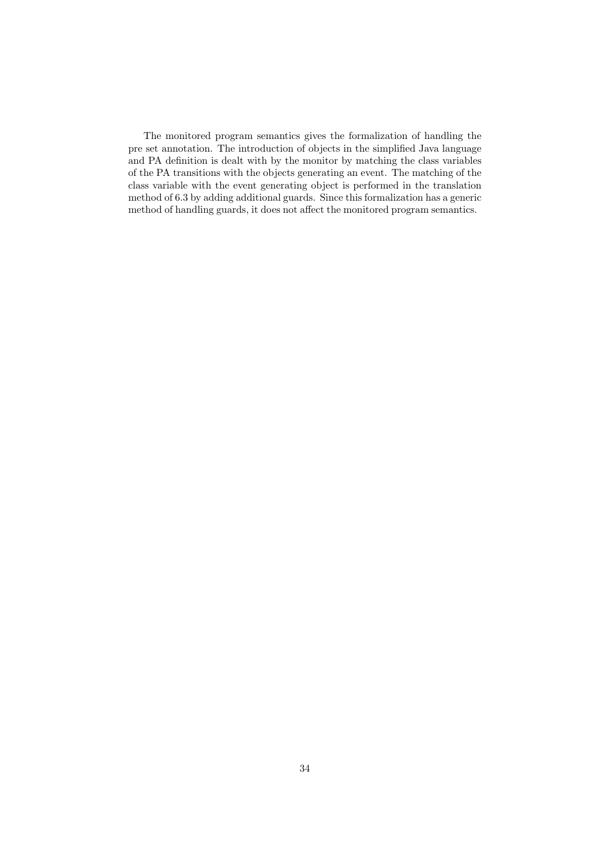The monitored program semantics gives the formalization of handling the pre set annotation. The introduction of objects in the simplified Java language and PA definition is dealt with by the monitor by matching the class variables of the PA transitions with the objects generating an event. The matching of the class variable with the event generating object is performed in the translation method of 6.3 by adding additional guards. Since this formalization has a generic method of handling guards, it does not affect the monitored program semantics.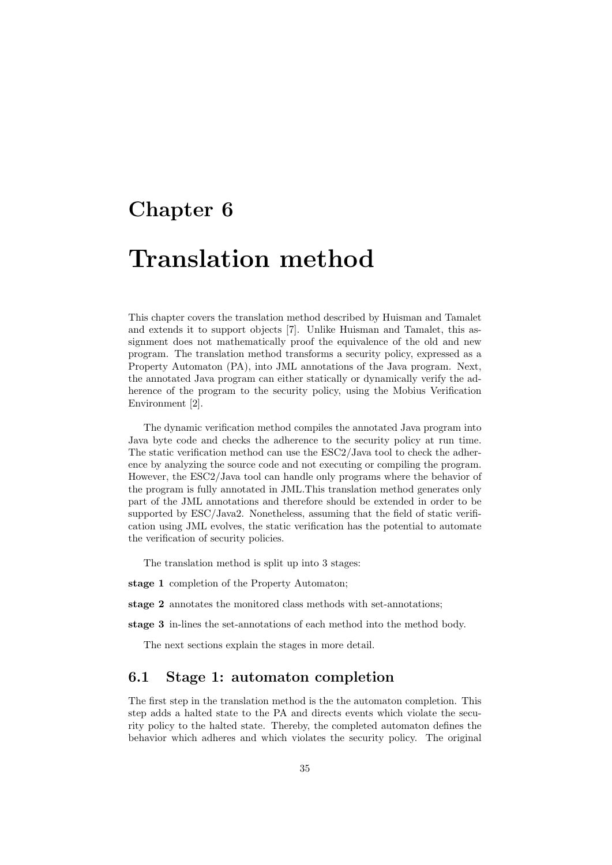### Chapter 6

## Translation method

This chapter covers the translation method described by Huisman and Tamalet and extends it to support objects [7]. Unlike Huisman and Tamalet, this assignment does not mathematically proof the equivalence of the old and new program. The translation method transforms a security policy, expressed as a Property Automaton (PA), into JML annotations of the Java program. Next, the annotated Java program can either statically or dynamically verify the adherence of the program to the security policy, using the Mobius Verification Environment [2].

The dynamic verification method compiles the annotated Java program into Java byte code and checks the adherence to the security policy at run time. The static verification method can use the ESC2/Java tool to check the adherence by analyzing the source code and not executing or compiling the program. However, the ESC2/Java tool can handle only programs where the behavior of the program is fully annotated in JML.This translation method generates only part of the JML annotations and therefore should be extended in order to be supported by ESC/Java2. Nonetheless, assuming that the field of static verification using JML evolves, the static verification has the potential to automate the verification of security policies.

The translation method is split up into 3 stages:

stage 1 completion of the Property Automaton;

stage 2 annotates the monitored class methods with set-annotations;

stage 3 in-lines the set-annotations of each method into the method body.

The next sections explain the stages in more detail.

#### 6.1 Stage 1: automaton completion

The first step in the translation method is the the automaton completion. This step adds a halted state to the PA and directs events which violate the security policy to the halted state. Thereby, the completed automaton defines the behavior which adheres and which violates the security policy. The original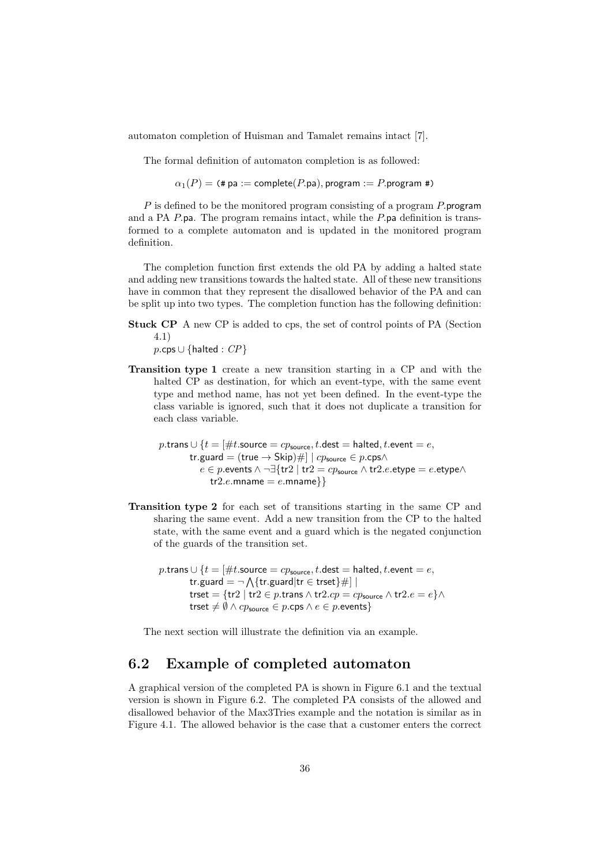automaton completion of Huisman and Tamalet remains intact [7].

The formal definition of automaton completion is as followed:

 $\alpha_1(P) =$  (# pa := complete(P.pa), program := P.program #)

P is defined to be the monitored program consisting of a program P.program and a PA  $P$ .pa. The program remains intact, while the  $P$ .pa definition is transformed to a complete automaton and is updated in the monitored program definition.

The completion function first extends the old PA by adding a halted state and adding new transitions towards the halted state. All of these new transitions have in common that they represent the disallowed behavior of the PA and can be split up into two types. The completion function has the following definition:

- Stuck CP A new CP is added to cps, the set of control points of PA (Section 4.1)
	- $p.\mathsf{cps} \cup \{\mathsf{halted} : \mathit{CP}\}\$
- Transition type 1 create a new transition starting in a CP and with the halted CP as destination, for which an event-type, with the same event type and method name, has not yet been defined. In the event-type the class variable is ignored, such that it does not duplicate a transition for each class variable.

$$
p.\text{trans} \cup \{t = [\#t.\text{source} = cp_\text{source}, t.\text{dest} = \text{halled}, t.\text{event} = e, \\ \text{tr.guard} = (\text{true} \rightarrow \text{Skip})\#] \mid cp_\text{source} \in p.\text{cps} \land \\ e \in p.\text{events} \land \neg \exists \{ \text{tr2} \mid \text{tr2} = cp_\text{source} \land \text{tr2}.e.\text{etype} = e.\text{etype} \land \\ \text{tr2}.e.\text{mname} = e.\text{mname}\}\}
$$

- Transition type 2 for each set of transitions starting in the same CP and sharing the same event. Add a new transition from the CP to the halted state, with the same event and a guard which is the negated conjunction of the guards of the transition set.
	- p.trans  $\cup$  { $t = \lceil \# t$ .source =  $cp_{\text{source}}$ ,  $t$ .dest = halted,  $t$ .event =  $e$ , tr.guard =  $\neg \bigwedge \{\text{tr.guard}|\text{tr} \in \text{trest}\}\#$  | trset = {tr2 | tr2 ∈ p.trans  $\wedge$  tr2.cp = cp<sub>source</sub>  $\wedge$  tr2.e = e} $\wedge$ trset  $\neq \emptyset \land cp_{source} \in p.\mathsf{cps} \land e \in p.\mathsf{events}$

The next section will illustrate the definition via an example.

#### 6.2 Example of completed automaton

A graphical version of the completed PA is shown in Figure 6.1 and the textual version is shown in Figure 6.2. The completed PA consists of the allowed and disallowed behavior of the Max3Tries example and the notation is similar as in Figure 4.1. The allowed behavior is the case that a customer enters the correct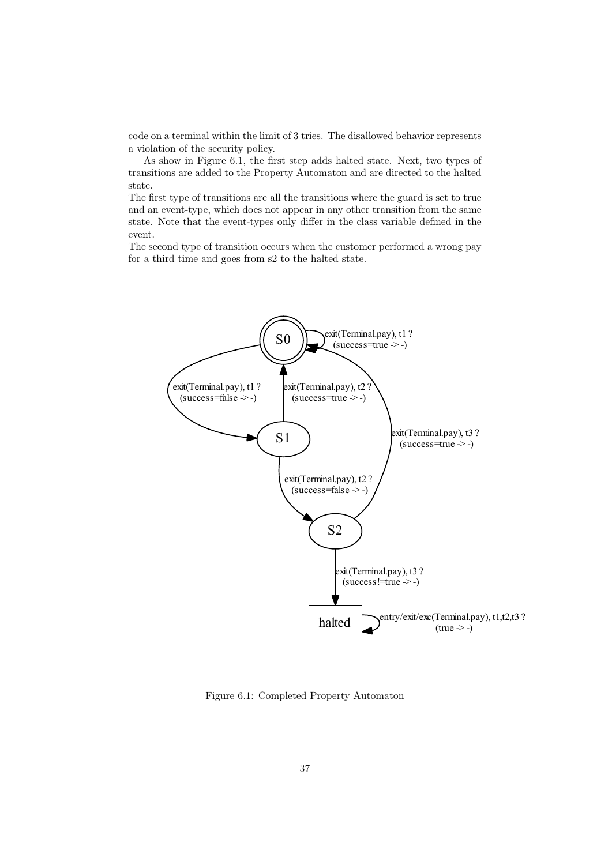code on a terminal within the limit of 3 tries. The disallowed behavior represents a violation of the security policy.

As show in Figure 6.1, the first step adds halted state. Next, two types of transitions are added to the Property Automaton and are directed to the halted state.

The first type of transitions are all the transitions where the guard is set to true and an event-type, which does not appear in any other transition from the same state. Note that the event-types only differ in the class variable defined in the event.

The second type of transition occurs when the customer performed a wrong pay for a third time and goes from s2 to the halted state.



Figure 6.1: Completed Property Automaton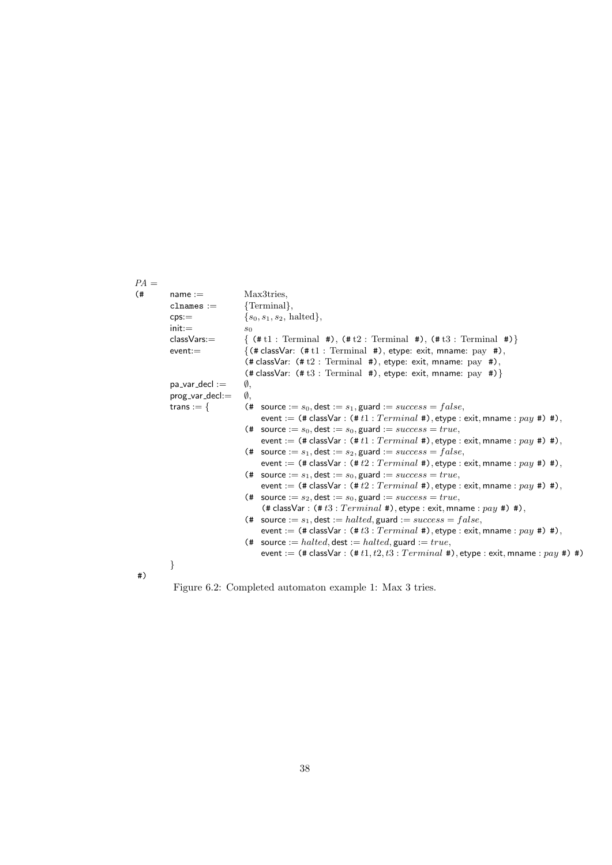$PA =$  $(\text{#} \qquad \text{name} := \qquad \qquad \text{Max3tries},$  ${\rm channels} := {\rm \{Terminal\}},$  $eps := \{s_0, s_1, s_2, \text{ halted}\},\$  $init :=$   $s_0$ classVars:=  $\{ (\# t1 : Terminal #), (\# t2 : Terminal #), (\# t3 : Terminal #) \}$ event:  $\{(* \text{ classVar: } (* \text{ t1 : Terminal } *), \text{ etype: exit, manage: pay } *),\}$  $(*$  classVar:  $(*t2: Terminal #)$ , etype: exit, mname: pay #), (# classVar:  $(\# t3 : Terminal #)$ , etype: exit, mname: pay #) } pa\_var\_decl :=  $\emptyset$ , prog\_var\_decl:= Ø, trans := {  $($   $#$  source :=  $s_0$ , dest :=  $s_1$ , guard :=  $success = false$ , event := (# classVar : (#  $t1$  :  $Terminal$  #), etype : exit, mname :  $pay$  #) #), (# source :=  $s_0$ , dest :=  $s_0$ , guard :=  $success = true$ , event :=  $(\# classVar : (\# t1 : Terminal \#), \text{etype} : \text{exit}, \text{mname} : pay \#),$ (# source :=  $s_1$ , dest :=  $s_2$ , guard :=  $success = false$ , event :=  $(\# \text{classVar} : (\# t2 : Terminal \#), \text{etype} : \text{exit}, \text{mname} : pay \#),$ (# source  $:= s_1$ , dest  $:= s_0$ , guard  $:= success = true$ , event :=  $(\# \text{classVar} : (\# t2 : Terminal \#), \text{etype} : \text{exit}, \text{mname} : pay \#),$ (# source :=  $s_2$ , dest :=  $s_0$ , guard :=  $success = true$ , (# classVar :  $(\# t3 : Terminal \#)$ , etype : exit, mname :  $pay \#) \#$ ), (# source :=  $s_1$ , dest := halted, guard :=  $success = false$ , event :=  $(\# \text{classVar} : (\# \text{ts} : Terminal \#), \text{etype} : \text{exit}, \text{mname} : pay \#) \#),$ (# source := halted, dest := halted, guard := true, event :=  $(\# \text{classVar} : (\# t1, t2, t3 : Terminal \#)$ , etype : exit, mname :  $pay \#) \#$ ) } #)

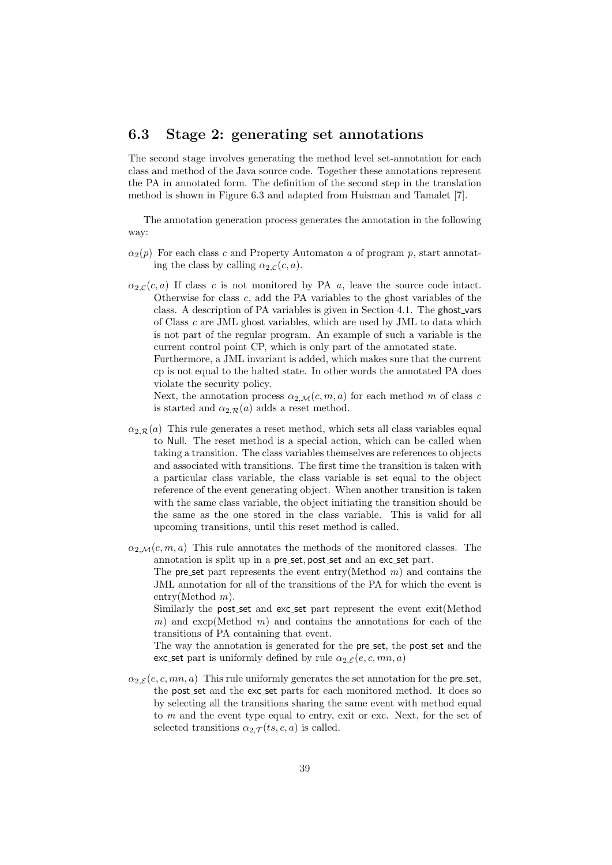#### 6.3 Stage 2: generating set annotations

The second stage involves generating the method level set-annotation for each class and method of the Java source code. Together these annotations represent the PA in annotated form. The definition of the second step in the translation method is shown in Figure 6.3 and adapted from Huisman and Tamalet [7].

The annotation generation process generates the annotation in the following way:

- $\alpha_2(p)$  For each class c and Property Automaton a of program p, start annotating the class by calling  $\alpha_{2,\mathcal{C}}(c, a)$ .
- $\alpha_{2,\mathcal{C}}(c, a)$  If class c is not monitored by PA a, leave the source code intact. Otherwise for class  $c$ , add the PA variables to the ghost variables of the class. A description of PA variables is given in Section 4.1. The ghost vars of Class c are JML ghost variables, which are used by JML to data which is not part of the regular program. An example of such a variable is the current control point CP, which is only part of the annotated state.

Furthermore, a JML invariant is added, which makes sure that the current cp is not equal to the halted state. In other words the annotated PA does violate the security policy.

Next, the annotation process  $\alpha_{2,\mathcal{M}}(c, m, a)$  for each method m of class c is started and  $\alpha_{2,\mathcal{R}}(a)$  adds a reset method.

- $\alpha_{2,\mathcal{R}}(a)$  This rule generates a reset method, which sets all class variables equal to Null. The reset method is a special action, which can be called when taking a transition. The class variables themselves are references to objects and associated with transitions. The first time the transition is taken with a particular class variable, the class variable is set equal to the object reference of the event generating object. When another transition is taken with the same class variable, the object initiating the transition should be the same as the one stored in the class variable. This is valid for all upcoming transitions, until this reset method is called.
- $\alpha_{2,\mathcal{M}}(c, m, a)$  This rule annotates the methods of the monitored classes. The annotation is split up in a pre set, post set and an exc set part.

The preset part represents the event entry (Method  $m$ ) and contains the JML annotation for all of the transitions of the PA for which the event is entry(Method m).

Similarly the post set and exc set part represent the event exit(Method m) and  $\exp(Method \ m)$  and contains the annotations for each of the transitions of PA containing that event.

The way the annotation is generated for the pre-set, the post-set and the exc set part is uniformly defined by rule  $\alpha_{2,\mathcal{E}}(e, c, mn, a)$ 

 $\alpha_{2,\mathcal{E}}(e, c, mn, a)$  This rule uniformly generates the set annotation for the pre-set, the post set and the exc set parts for each monitored method. It does so by selecting all the transitions sharing the same event with method equal to m and the event type equal to entry, exit or exc. Next, for the set of selected transitions  $\alpha_{2,\mathcal{T}}(ts, c, a)$  is called.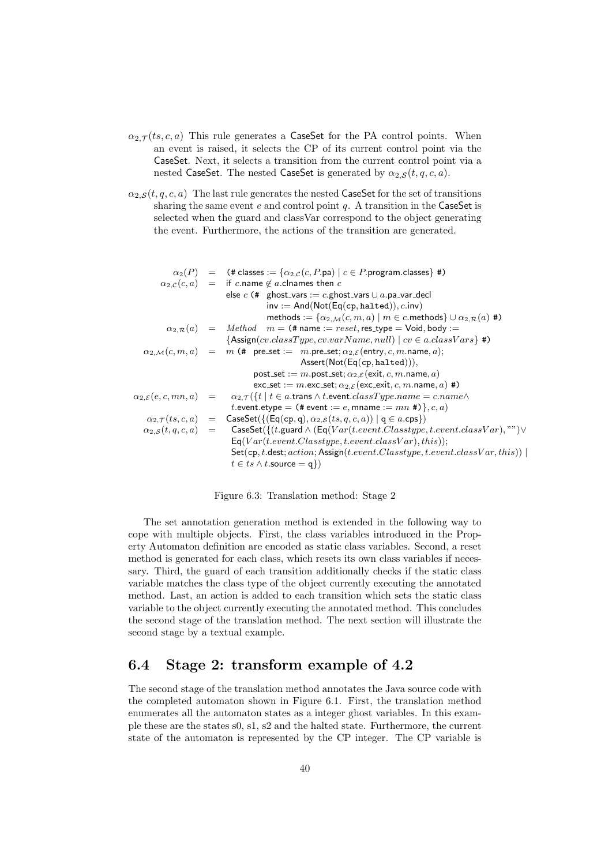- $\alpha_{2,\mathcal{T}}(ts, c, a)$  This rule generates a CaseSet for the PA control points. When an event is raised, it selects the CP of its current control point via the CaseSet. Next, it selects a transition from the current control point via a nested CaseSet. The nested CaseSet is generated by  $\alpha_{2,S}(t, q, c, a)$ .
- $\alpha_{2,S}(t, q, c, a)$  The last rule generates the nested CaseSet for the set of transitions sharing the same event  $e$  and control point  $q$ . A transition in the CaseSet is selected when the guard and classVar correspond to the object generating the event. Furthermore, the actions of the transition are generated.

```
\alpha_2(P) = (# classes := \{\alpha_{2,C}(c, P \cdot \text{pa}) \mid c \in P \cdot \text{program.classes}\}\#)
         \alpha_{2,\mathcal{C}}(c,a) = if c.name \notin a.clnames then c
                                   else c (# ghost_vars := c.ghost_vars ∪ a.pa_var_decl
                                                   inv := And(Not(Eq(cp, \text{halted})), c.\text{inv})methods := \{\alpha_{2,\mathcal{M}}(c, m, a) \mid m \in c.\text{methods}\} \cup \alpha_{2,\mathcal{R}}(a) \neq \emptyset\alpha_{2,\mathcal{R}}(a) = Method \quad m = (\text{# name} := reset, \text{res\_type} = \text{void}, \text{body} :={Assign}(cv.classType, cv.varName, null) | cv \in a.classVars\}#)
   \alpha_{2,\mathcal{M}}(c, m, a) = m (# pre_set := m.pre_set; \alpha_{2,\mathcal{E}}(\text{entry}, c, m \text{.name}, a);
                                                               Assert(Not(Eq(cp, halted))),
                                             post_set := m.post_set; \alpha_{2,\mathcal{E}} (exit, c, m.name, a)
                                             \textsf{exc}\_\textsf{set} := m.\textsf{exc}\_\textsf{set}; \alpha_{2,\mathcal{E}}(\textsf{exc}\_\textsf{exit}, c, m.\textsf{name}, a)#)
\alpha_{2,\mathcal{E}}(e, c, mn, a) = \alpha_{2,\mathcal{T}}(\{t \mid t \in a.\text{trans} \land t.\text{event}.\text{classType}.\text{name} = c.\text{name} \land c.\text{name} \}t.event.etype = (\texttt{\# event} := e, \texttt{mname} := mn \texttt{\#})\}, c, a)\alpha_{2,\mathcal{T}}(ts, c, a) = \text{CaseSet}(\{(\textsf{Eq}(\texttt{cp}, \texttt{q}), \alpha_{2,\mathcal{S}}(ts, q, c, a)) | \texttt{q} \in a.\texttt{cps}\})\alpha_{2,S}(t, q, c, a) = CaseSet({(t.guard \wedge (Eq(V ar(t.event.Classtype, t.event.classV ar), "") \veeEq(Var(t.event. Classtype, t.event.classVar), this);Set(cp, t.dest; action; Assign(t.event.Classifier, t.event.classVar, this))t \in ts \wedge t.source = q})
```
Figure 6.3: Translation method: Stage 2

The set annotation generation method is extended in the following way to cope with multiple objects. First, the class variables introduced in the Property Automaton definition are encoded as static class variables. Second, a reset method is generated for each class, which resets its own class variables if necessary. Third, the guard of each transition additionally checks if the static class variable matches the class type of the object currently executing the annotated method. Last, an action is added to each transition which sets the static class variable to the object currently executing the annotated method. This concludes the second stage of the translation method. The next section will illustrate the second stage by a textual example.

#### 6.4 Stage 2: transform example of 4.2

The second stage of the translation method annotates the Java source code with the completed automaton shown in Figure 6.1. First, the translation method enumerates all the automaton states as a integer ghost variables. In this example these are the states s0, s1, s2 and the halted state. Furthermore, the current state of the automaton is represented by the CP integer. The CP variable is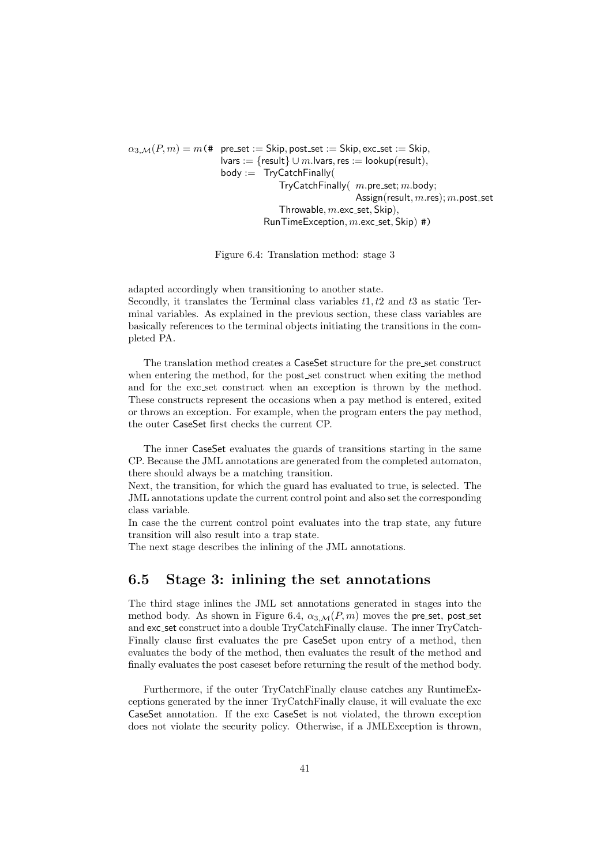$\alpha_{3,M}(P,m) = m$  (# pre\_set := Skip, post\_set := Skip, exc\_set := Skip, lvars := {result}  $\cup$  m.lvars, res := lookup(result),  $body := TryCatchFinally($ TryCatchFinally $(m.pre_set; m.body;$ Assign(result,  $m$ .res);  $m$ .post\_set Throwable,  $m$ . exc\_set, Skip),  $RunTimeException, m.exc_set, Skip)$ #)

Figure 6.4: Translation method: stage 3

adapted accordingly when transitioning to another state. Secondly, it translates the Terminal class variables  $t_1, t_2$  and  $t_3$  as static Terminal variables. As explained in the previous section, these class variables are basically references to the terminal objects initiating the transitions in the completed PA.

The translation method creates a CaseSet structure for the pre set construct when entering the method, for the post set construct when exiting the method and for the exc set construct when an exception is thrown by the method. These constructs represent the occasions when a pay method is entered, exited or throws an exception. For example, when the program enters the pay method, the outer CaseSet first checks the current CP.

The inner CaseSet evaluates the guards of transitions starting in the same CP. Because the JML annotations are generated from the completed automaton, there should always be a matching transition.

Next, the transition, for which the guard has evaluated to true, is selected. The JML annotations update the current control point and also set the corresponding class variable.

In case the the current control point evaluates into the trap state, any future transition will also result into a trap state.

The next stage describes the inlining of the JML annotations.

#### 6.5 Stage 3: inlining the set annotations

The third stage inlines the JML set annotations generated in stages into the method body. As shown in Figure 6.4,  $\alpha_{3,M}(P,m)$  moves the pre-set, post-set and exc set construct into a double TryCatchFinally clause. The inner TryCatch-Finally clause first evaluates the pre CaseSet upon entry of a method, then evaluates the body of the method, then evaluates the result of the method and finally evaluates the post caseset before returning the result of the method body.

Furthermore, if the outer TryCatchFinally clause catches any RuntimeExceptions generated by the inner TryCatchFinally clause, it will evaluate the exc CaseSet annotation. If the exc CaseSet is not violated, the thrown exception does not violate the security policy. Otherwise, if a JMLException is thrown,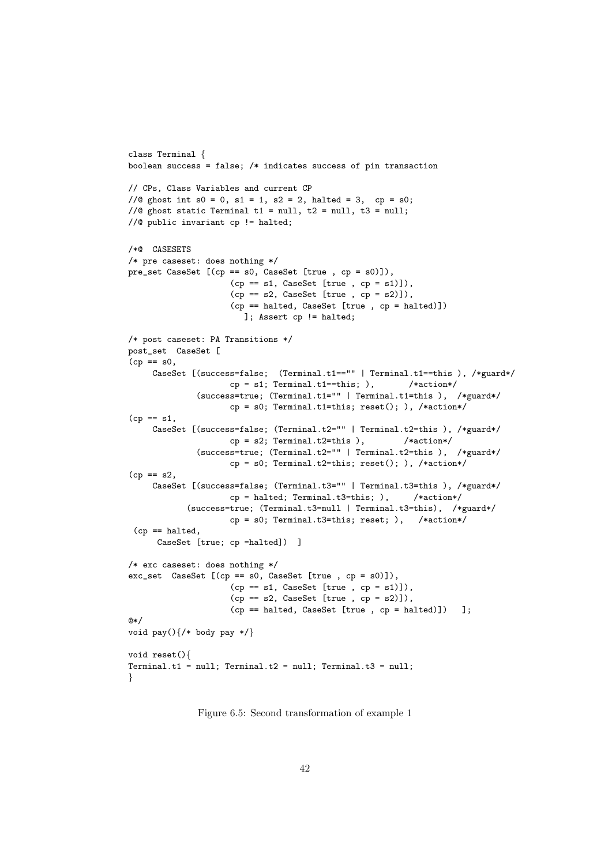```
class Terminal {
boolean success = false; /* indicates success of pin transaction
// CPs, Class Variables and current CP
//\alpha ghost int s0 = 0, s1 = 1, s2 = 2, halted = 3, cp = s0;
//@ ghost static Terminal t1 = null, t2 = null, t3 = null;
//@ public invariant cp != halted;
/*@ CASESETS
/* pre caseset: does nothing */
pre_set CaseSet [(cp == s0, CaseSet [true , cp = s0)]),
                     (cp == s1, CaseSet [true, cp = s1)],
                     (cp == s2, CaseSet [true, cp = s2)],
                     (cp == halted, CaseSet [true , cp = halted)])
                       ]; Assert cp != halted;
/* post caseset: PA Transitions */
post_set CaseSet [
(cp == s0,CaseSet [(success=false; (Terminal.t1=="" | Terminal.t1==this ), /*guard*/
                    cp = s1; Terminal.t1==this; ), /* action*/
              (success=true; (Terminal.t1="" | Terminal.t1=this ), /*guard*/
                    cp = s0; Terminal.t1=this; reset(); ), /*action*/
(cp == s1,CaseSet [(success=false; (Terminal.t2="" | Terminal.t2=this ), /*guard*/
                    cp = s2; Terminal.t2=this ), /* action*/
              (success=true; (Terminal.t2="" | Terminal.t2=this ), /*guard*/
                    cp = s0; Terminal.t2=this; reset(); ), /*action*/
(cp == s2,CaseSet [(success=false; (Terminal.t3="" | Terminal.t3=this ), /*guard*/
                    cp = halted; Terminal.t3=this; ), /*action*/
            (success=true; (Terminal.t3=null | Terminal.t3=this), /*guard*/
                    cp = s0; Terminal.t3=this; reset; ), /*action*/
 (op == \text{halted},CaseSet [true; cp =halted]) ]
/* exc caseset: does nothing */
exc_set CaseSet [(cp == s0, CaseSet [true , cp = s0)]),
                    (cp == s1, CaseSet [true, cp = s1)],
                     (cp == s2, CaseSet [true, cp = s2)],
                     (cp == halted, CaseSet [true , cp = halted)]) ];
@*/
void pay()\{/* body pay */\}void reset(){
Terminal.t1 = null; Terminal.t2 = null; Terminal.t3 = null;
}
```
Figure 6.5: Second transformation of example 1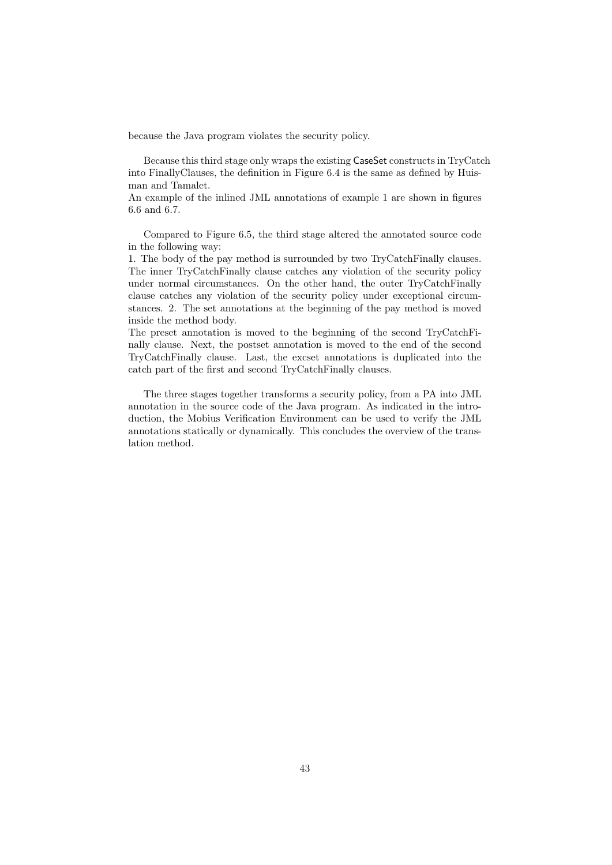because the Java program violates the security policy.

Because this third stage only wraps the existing CaseSet constructs in TryCatch into FinallyClauses, the definition in Figure 6.4 is the same as defined by Huisman and Tamalet.

An example of the inlined JML annotations of example 1 are shown in figures 6.6 and 6.7.

Compared to Figure 6.5, the third stage altered the annotated source code in the following way:

1. The body of the pay method is surrounded by two TryCatchFinally clauses. The inner TryCatchFinally clause catches any violation of the security policy under normal circumstances. On the other hand, the outer TryCatchFinally clause catches any violation of the security policy under exceptional circumstances. 2. The set annotations at the beginning of the pay method is moved inside the method body.

The preset annotation is moved to the beginning of the second TryCatchFinally clause. Next, the postset annotation is moved to the end of the second TryCatchFinally clause. Last, the excset annotations is duplicated into the catch part of the first and second TryCatchFinally clauses.

The three stages together transforms a security policy, from a PA into JML annotation in the source code of the Java program. As indicated in the introduction, the Mobius Verification Environment can be used to verify the JML annotations statically or dynamically. This concludes the overview of the translation method.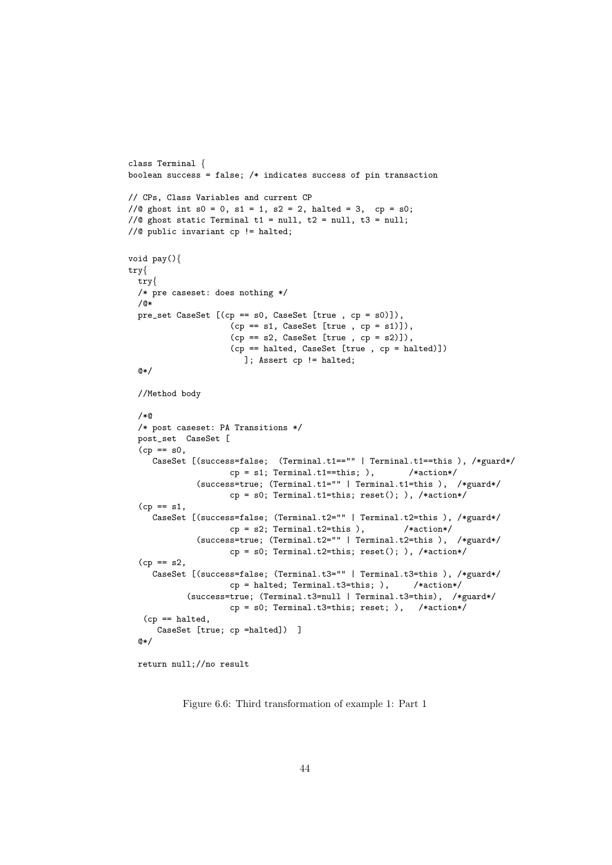```
class Terminal {
boolean success = false; /* indicates success of pin transaction
// CPs, Class Variables and current CP
//@ ghost int s0 = 0, s1 = 1, s2 = 2, halted = 3, cp = s0;
//@ ghost static Terminal t1 = null, t2 = null, t3 = null;
//@ public invariant cp != halted;
void pay(){
try{
 try{
 /* pre caseset: does nothing */
 /@*
 pre_set CaseSet [(cp == s0, CaseSet [true , cp = s0)]),
                     (cp == s1, CaseSet [true, cp = s1)],
                     (sp == s2, CaseSet [true, cp = s2)],
                     (cp == halted, CaseSet [true , cp = halted)])
                       ]; Assert cp != halted;
  @*/
  //Method body
  /*@
  /* post caseset: PA Transitions */
 post_set CaseSet [
  (cp == s0,CaseSet [(success=false; (Terminal.t1=="" | Terminal.t1==this ), /*guard*/
                    cp = s1; Terminal.t1==this; ), /* action*/
              (success=true; (Terminal.t1="" | Terminal.t1=this ), /*guard*/
                    cp = s0; Terminal.t1=this; reset(); ), /*action*/
  (cp == s1,CaseSet [(success=false; (Terminal.t2="" | Terminal.t2=this ), /*guard*/
                    cp = s2; Terminal.t2=this ), /* action*/
              (success=true; (Terminal.t2="" | Terminal.t2=this ), /*guard*/
                    cp = s0; Terminal.t2=this; reset(); ), /*action*/
  (cp == s2,CaseSet [(success=false; (Terminal.t3="" | Terminal.t3=this ), /*guard*/
                    cp = \text{halted}; Terminal.t3=this; ), /*action*/
            (success=true; (Terminal.t3=null | Terminal.t3=this), /*guard*/
                    cp = s0; Terminal.t3=this; reset; ), /*action*/
   (cp == halted,
      CaseSet [true; cp =halted]) ]
  @*
```

```
return null;//no result
```
Figure 6.6: Third transformation of example 1: Part 1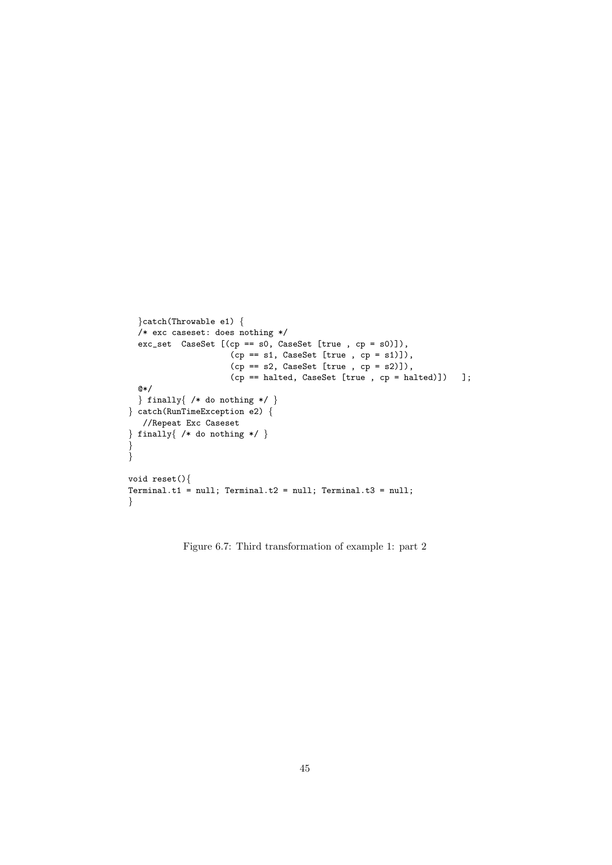```
}catch(Throwable e1) {
 /* exc caseset: does nothing */
 exc_set CaseSet [(cp == s0, CaseSet [true , cp = s0)]),
                    (cp == s1, CaseSet [true, cp = s1)],
                    (sp == s2, CaseSet [true, cp = s2)],
                    (cp == halted, CaseSet [true , cp = halted)]) ];
 @*/
 \} finally{ /* do nothing */ }
} catch(RunTimeException e2) {
  //Repeat Exc Caseset
} finally{ /* do nothing */ }
}
}
void reset(){
Terminal.t1 = null; Terminal.t2 = null; Terminal.t3 = null;
}
```
Figure 6.7: Third transformation of example 1: part 2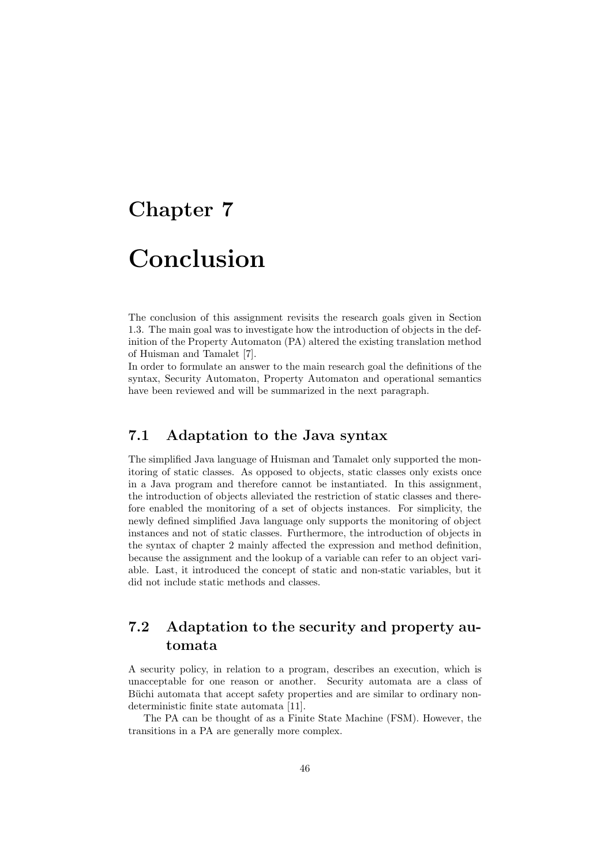# Chapter 7 Conclusion

The conclusion of this assignment revisits the research goals given in Section 1.3. The main goal was to investigate how the introduction of objects in the definition of the Property Automaton (PA) altered the existing translation method of Huisman and Tamalet [7].

In order to formulate an answer to the main research goal the definitions of the syntax, Security Automaton, Property Automaton and operational semantics have been reviewed and will be summarized in the next paragraph.

#### 7.1 Adaptation to the Java syntax

The simplified Java language of Huisman and Tamalet only supported the monitoring of static classes. As opposed to objects, static classes only exists once in a Java program and therefore cannot be instantiated. In this assignment, the introduction of objects alleviated the restriction of static classes and therefore enabled the monitoring of a set of objects instances. For simplicity, the newly defined simplified Java language only supports the monitoring of object instances and not of static classes. Furthermore, the introduction of objects in the syntax of chapter 2 mainly affected the expression and method definition, because the assignment and the lookup of a variable can refer to an object variable. Last, it introduced the concept of static and non-static variables, but it did not include static methods and classes.

#### 7.2 Adaptation to the security and property automata

A security policy, in relation to a program, describes an execution, which is unacceptable for one reason or another. Security automata are a class of Büchi automata that accept safety properties and are similar to ordinary nondeterministic finite state automata [11].

The PA can be thought of as a Finite State Machine (FSM). However, the transitions in a PA are generally more complex.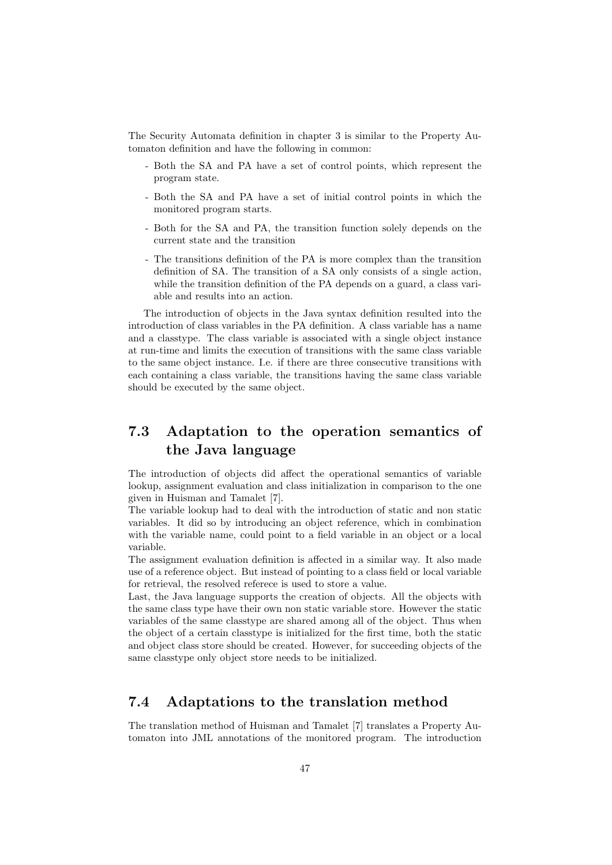The Security Automata definition in chapter 3 is similar to the Property Automaton definition and have the following in common:

- Both the SA and PA have a set of control points, which represent the program state.
- Both the SA and PA have a set of initial control points in which the monitored program starts.
- Both for the SA and PA, the transition function solely depends on the current state and the transition
- The transitions definition of the PA is more complex than the transition definition of SA. The transition of a SA only consists of a single action, while the transition definition of the PA depends on a guard, a class variable and results into an action.

The introduction of objects in the Java syntax definition resulted into the introduction of class variables in the PA definition. A class variable has a name and a classtype. The class variable is associated with a single object instance at run-time and limits the execution of transitions with the same class variable to the same object instance. I.e. if there are three consecutive transitions with each containing a class variable, the transitions having the same class variable should be executed by the same object.

#### 7.3 Adaptation to the operation semantics of the Java language

The introduction of objects did affect the operational semantics of variable lookup, assignment evaluation and class initialization in comparison to the one given in Huisman and Tamalet [7].

The variable lookup had to deal with the introduction of static and non static variables. It did so by introducing an object reference, which in combination with the variable name, could point to a field variable in an object or a local variable.

The assignment evaluation definition is affected in a similar way. It also made use of a reference object. But instead of pointing to a class field or local variable for retrieval, the resolved referece is used to store a value.

Last, the Java language supports the creation of objects. All the objects with the same class type have their own non static variable store. However the static variables of the same classtype are shared among all of the object. Thus when the object of a certain classtype is initialized for the first time, both the static and object class store should be created. However, for succeeding objects of the same classtype only object store needs to be initialized.

#### 7.4 Adaptations to the translation method

The translation method of Huisman and Tamalet [7] translates a Property Automaton into JML annotations of the monitored program. The introduction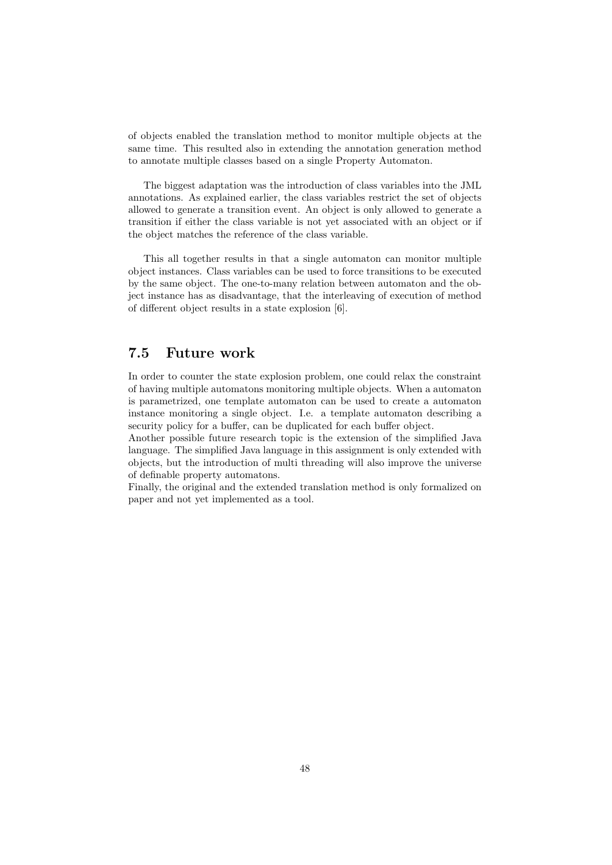of objects enabled the translation method to monitor multiple objects at the same time. This resulted also in extending the annotation generation method to annotate multiple classes based on a single Property Automaton.

The biggest adaptation was the introduction of class variables into the JML annotations. As explained earlier, the class variables restrict the set of objects allowed to generate a transition event. An object is only allowed to generate a transition if either the class variable is not yet associated with an object or if the object matches the reference of the class variable.

This all together results in that a single automaton can monitor multiple object instances. Class variables can be used to force transitions to be executed by the same object. The one-to-many relation between automaton and the object instance has as disadvantage, that the interleaving of execution of method of different object results in a state explosion [6].

#### 7.5 Future work

In order to counter the state explosion problem, one could relax the constraint of having multiple automatons monitoring multiple objects. When a automaton is parametrized, one template automaton can be used to create a automaton instance monitoring a single object. I.e. a template automaton describing a security policy for a buffer, can be duplicated for each buffer object.

Another possible future research topic is the extension of the simplified Java language. The simplified Java language in this assignment is only extended with objects, but the introduction of multi threading will also improve the universe of definable property automatons.

Finally, the original and the extended translation method is only formalized on paper and not yet implemented as a tool.